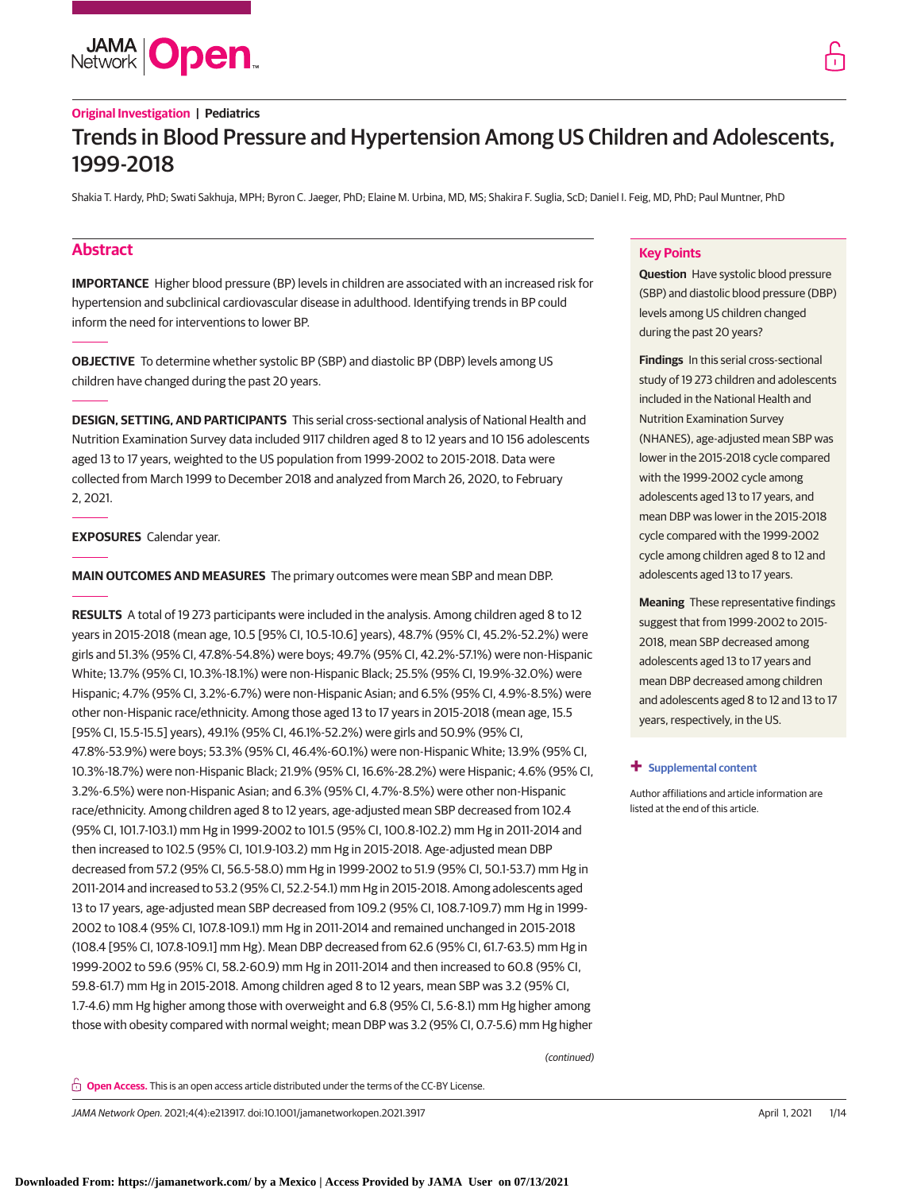

# **Original Investigation | Pediatrics**

# Trends in Blood Pressure and Hypertension Among US Children and Adolescents, 1999-2018

Shakia T. Hardy, PhD; Swati Sakhuja, MPH; Byron C. Jaeger, PhD; Elaine M. Urbina, MD, MS; Shakira F. Suglia, ScD; Daniel I. Feig, MD, PhD; Paul Muntner, PhD

# **Abstract**

**IMPORTANCE** Higher blood pressure (BP) levels in children are associated with an increased risk for hypertension and subclinical cardiovascular disease in adulthood. Identifying trends in BP could inform the need for interventions to lower BP.

**OBJECTIVE** To determine whether systolic BP (SBP) and diastolic BP (DBP) levels among US children have changed during the past 20 years.

**DESIGN, SETTING, AND PARTICIPANTS** This serial cross-sectional analysis of National Health and Nutrition Examination Survey data included 9117 children aged 8 to 12 years and 10 156 adolescents aged 13 to 17 years, weighted to the US population from 1999-2002 to 2015-2018. Data were collected from March 1999 to December 2018 and analyzed from March 26, 2020, to February 2, 2021.

### **EXPOSURES** Calendar year.

**MAIN OUTCOMES AND MEASURES** The primary outcomes were mean SBP and mean DBP.

**RESULTS** A total of 19 273 participants were included in the analysis. Among children aged 8 to 12 years in 2015-2018 (mean age, 10.5 [95% CI, 10.5-10.6] years), 48.7% (95% CI, 45.2%-52.2%) were girls and 51.3% (95% CI, 47.8%-54.8%) were boys; 49.7% (95% CI, 42.2%-57.1%) were non-Hispanic White; 13.7% (95% CI, 10.3%-18.1%) were non-Hispanic Black; 25.5% (95% CI, 19.9%-32.0%) were Hispanic; 4.7% (95% CI, 3.2%-6.7%) were non-Hispanic Asian; and 6.5% (95% CI, 4.9%-8.5%) were other non-Hispanic race/ethnicity. Among those aged 13 to 17 years in 2015-2018 (mean age, 15.5 [95% CI, 15.5-15.5] years), 49.1% (95% CI, 46.1%-52.2%) were girls and 50.9% (95% CI, 47.8%-53.9%) were boys; 53.3% (95% CI, 46.4%-60.1%) were non-Hispanic White; 13.9% (95% CI, 10.3%-18.7%) were non-Hispanic Black; 21.9% (95% CI, 16.6%-28.2%) were Hispanic; 4.6% (95% CI, 3.2%-6.5%) were non-Hispanic Asian; and 6.3% (95% CI, 4.7%-8.5%) were other non-Hispanic race/ethnicity. Among children aged 8 to 12 years, age-adjusted mean SBP decreased from 102.4 (95% CI, 101.7-103.1) mm Hg in 1999-2002 to 101.5 (95% CI, 100.8-102.2) mm Hg in 2011-2014 and then increased to 102.5 (95% CI, 101.9-103.2) mm Hg in 2015-2018. Age-adjusted mean DBP decreased from 57.2 (95% CI, 56.5-58.0) mm Hg in 1999-2002 to 51.9 (95% CI, 50.1-53.7) mm Hg in 2011-2014 and increased to 53.2 (95% CI, 52.2-54.1) mm Hg in 2015-2018. Among adolescents aged 13 to 17 years, age-adjusted mean SBP decreased from 109.2 (95% CI, 108.7-109.7) mm Hg in 1999- 2002 to 108.4 (95% CI, 107.8-109.1) mm Hg in 2011-2014 and remained unchanged in 2015-2018 (108.4 [95% CI, 107.8-109.1] mm Hg). Mean DBP decreased from 62.6 (95% CI, 61.7-63.5) mm Hg in 1999-2002 to 59.6 (95% CI, 58.2-60.9) mm Hg in 2011-2014 and then increased to 60.8 (95% CI, 59.8-61.7) mm Hg in 2015-2018. Among children aged 8 to 12 years, mean SBP was 3.2 (95% CI, 1.7-4.6) mm Hg higher among those with overweight and 6.8 (95% CI, 5.6-8.1) mm Hg higher among those with obesity compared with normal weight; mean DBP was 3.2 (95% CI, 0.7-5.6) mm Hg higher

# **Key Points**

**Question** Have systolic blood pressure (SBP) and diastolic blood pressure (DBP) levels among US children changed during the past 20 years?

**Findings** In this serial cross-sectional study of 19 273 children and adolescents included in the National Health and Nutrition Examination Survey (NHANES), age-adjusted mean SBP was lower in the 2015-2018 cycle compared with the 1999-2002 cycle among adolescents aged 13 to 17 years, and mean DBP was lower in the 2015-2018 cycle compared with the 1999-2002 cycle among children aged 8 to 12 and adolescents aged 13 to 17 years.

**Meaning** These representative findings suggest that from 1999-2002 to 2015- 2018, mean SBP decreased among adolescents aged 13 to 17 years and mean DBP decreased among children and adolescents aged 8 to 12 and 13 to 17 years, respectively, in the US.

### **+ [Supplemental content](https://jama.jamanetwork.com/article.aspx?doi=10.1001/jamanetworkopen.2021.3917&utm_campaign=articlePDF%26utm_medium=articlePDFlink%26utm_source=articlePDF%26utm_content=jamanetworkopen.2021.3917)**

Author affiliations and article information are listed at the end of this article.

(continued)

**Open Access.** This is an open access article distributed under the terms of the CC-BY License.

JAMA Network Open. 2021;4(4):e213917. doi:10.1001/jamanetworkopen.2021.3917 (Reprinted) April 1, 2021 1/14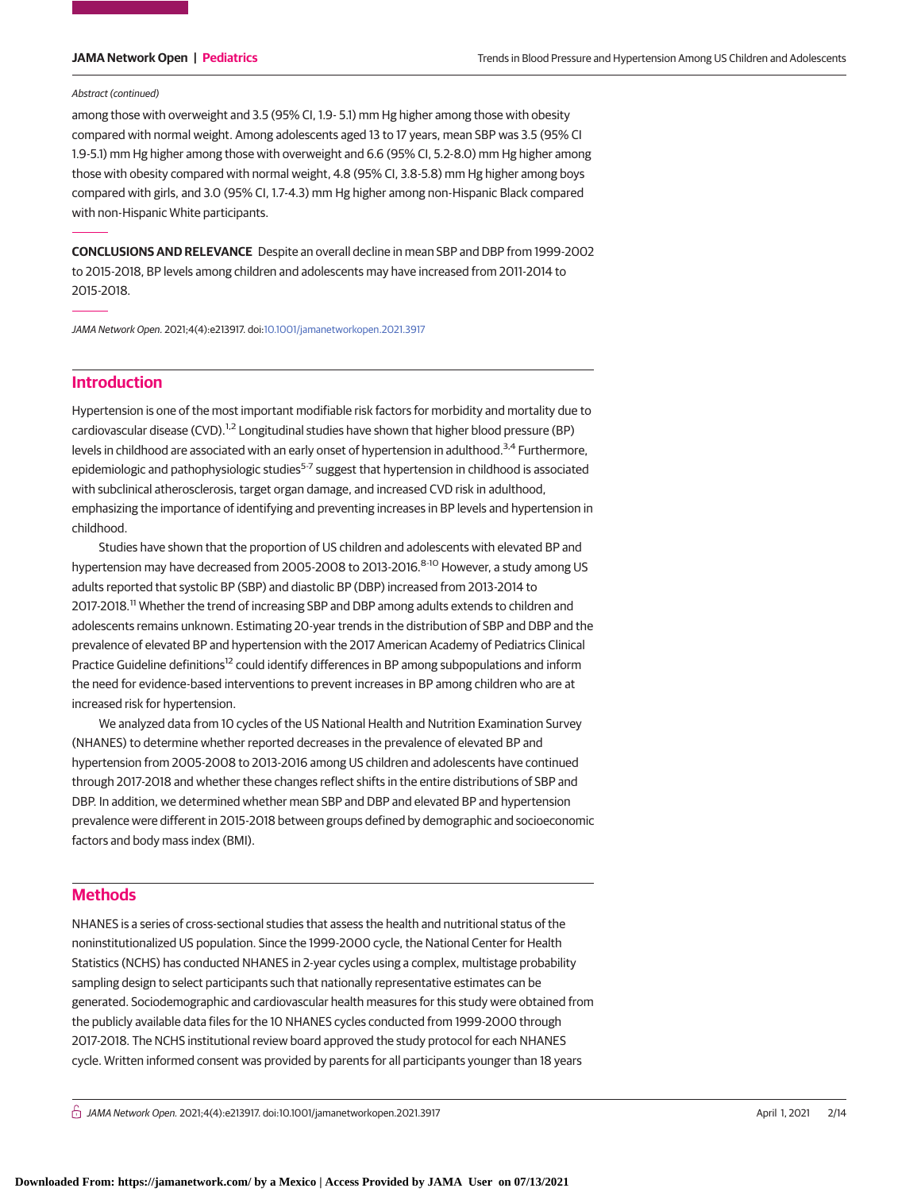#### Abstract (continued)

among those with overweight and 3.5 (95% CI, 1.9- 5.1) mm Hg higher among those with obesity compared with normal weight. Among adolescents aged 13 to 17 years, mean SBP was 3.5 (95% CI 1.9-5.1) mm Hg higher among those with overweight and 6.6 (95% CI, 5.2-8.0) mm Hg higher among those with obesity compared with normal weight, 4.8 (95% CI, 3.8-5.8) mm Hg higher among boys compared with girls, and 3.0 (95% CI, 1.7-4.3) mm Hg higher among non-Hispanic Black compared with non-Hispanic White participants.

**CONCLUSIONS AND RELEVANCE** Despite an overall decline in mean SBP and DBP from 1999-2002 to 2015-2018, BP levels among children and adolescents may have increased from 2011-2014 to 2015-2018.

JAMA Network Open. 2021;4(4):e213917. doi[:10.1001/jamanetworkopen.2021.3917](https://jama.jamanetwork.com/article.aspx?doi=10.1001/jamanetworkopen.2021.3917&utm_campaign=articlePDF%26utm_medium=articlePDFlink%26utm_source=articlePDF%26utm_content=jamanetworkopen.2021.3917)

# **Introduction**

Hypertension is one of the most important modifiable risk factors for morbidity and mortality due to cardiovascular disease (CVD).<sup>1,2</sup> Longitudinal studies have shown that higher blood pressure (BP) levels in childhood are associated with an early onset of hypertension in adulthood.<sup>3,4</sup> Furthermore, epidemiologic and pathophysiologic studies $5-7$  suggest that hypertension in childhood is associated with subclinical atherosclerosis, target organ damage, and increased CVD risk in adulthood, emphasizing the importance of identifying and preventing increases in BP levels and hypertension in childhood.

Studies have shown that the proportion of US children and adolescents with elevated BP and hypertension may have decreased from 2005-2008 to 2013-2016.<sup>8-10</sup> However, a study among US adults reported that systolic BP (SBP) and diastolic BP (DBP) increased from 2013-2014 to 2017-2018.<sup>11</sup> Whether the trend of increasing SBP and DBP among adults extends to children and adolescents remains unknown. Estimating 20-year trends in the distribution of SBP and DBP and the prevalence of elevated BP and hypertension with the 2017 American Academy of Pediatrics Clinical Practice Guideline definitions<sup>12</sup> could identify differences in BP among subpopulations and inform the need for evidence-based interventions to prevent increases in BP among children who are at increased risk for hypertension.

We analyzed data from 10 cycles of the US National Health and Nutrition Examination Survey (NHANES) to determine whether reported decreases in the prevalence of elevated BP and hypertension from 2005-2008 to 2013-2016 among US children and adolescents have continued through 2017-2018 and whether these changes reflect shifts in the entire distributions of SBP and DBP. In addition, we determined whether mean SBP and DBP and elevated BP and hypertension prevalence were different in 2015-2018 between groups defined by demographic and socioeconomic factors and body mass index (BMI).

# **Methods**

NHANES is a series of cross-sectional studies that assess the health and nutritional status of the noninstitutionalized US population. Since the 1999-2000 cycle, the National Center for Health Statistics (NCHS) has conducted NHANES in 2-year cycles using a complex, multistage probability sampling design to select participants such that nationally representative estimates can be generated. Sociodemographic and cardiovascular health measures for this study were obtained from the publicly available data files for the 10 NHANES cycles conducted from 1999-2000 through 2017-2018. The NCHS institutional review board approved the study protocol for each NHANES cycle. Written informed consent was provided by parents for all participants younger than 18 years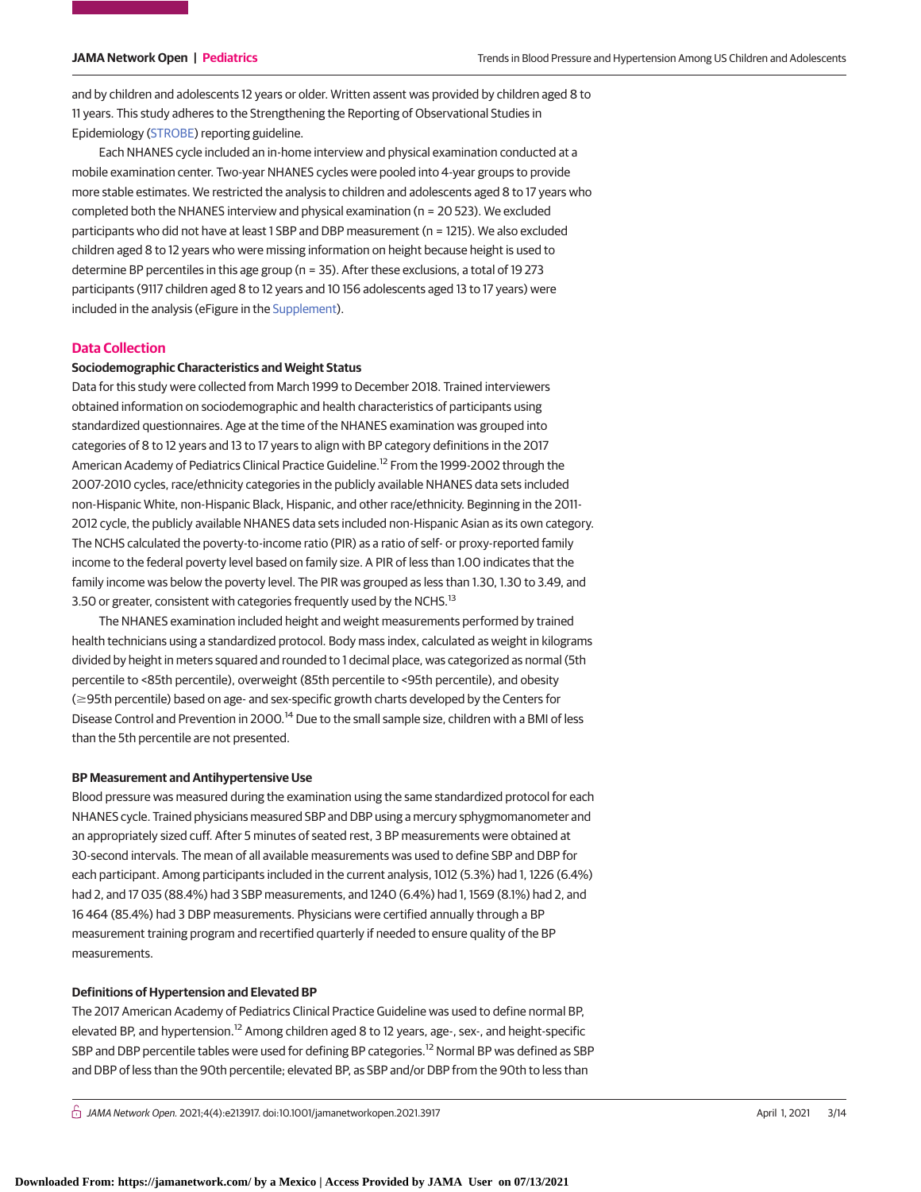and by children and adolescents 12 years or older. Written assent was provided by children aged 8 to 11 years. This study adheres to the Strengthening the Reporting of Observational Studies in Epidemiology [\(STROBE\)](https://www.equator-network.org/reporting-guidelines/strobe/) reporting guideline.

Each NHANES cycle included an in-home interview and physical examination conducted at a mobile examination center. Two-year NHANES cycles were pooled into 4-year groups to provide more stable estimates. We restricted the analysis to children and adolescents aged 8 to 17 years who completed both the NHANES interview and physical examination (n = 20 523). We excluded participants who did not have at least 1 SBP and DBP measurement (n = 1215). We also excluded children aged 8 to 12 years who were missing information on height because height is used to determine BP percentiles in this age group (n = 35). After these exclusions, a total of 19 273 participants (9117 children aged 8 to 12 years and 10 156 adolescents aged 13 to 17 years) were included in the analysis (eFigure in the [Supplement\)](https://jama.jamanetwork.com/article.aspx?doi=10.1001/jamanetworkopen.2021.3917&utm_campaign=articlePDF%26utm_medium=articlePDFlink%26utm_source=articlePDF%26utm_content=jamanetworkopen.2021.3917).

### **Data Collection**

### **Sociodemographic Characteristics and Weight Status**

Data for this study were collected from March 1999 to December 2018. Trained interviewers obtained information on sociodemographic and health characteristics of participants using standardized questionnaires. Age at the time of the NHANES examination was grouped into categories of 8 to 12 years and 13 to 17 years to align with BP category definitions in the 2017 American Academy of Pediatrics Clinical Practice Guideline.<sup>12</sup> From the 1999-2002 through the 2007-2010 cycles, race/ethnicity categories in the publicly available NHANES data sets included non-Hispanic White, non-Hispanic Black, Hispanic, and other race/ethnicity. Beginning in the 2011- 2012 cycle, the publicly available NHANES data sets included non-Hispanic Asian as its own category. The NCHS calculated the poverty-to-income ratio (PIR) as a ratio of self- or proxy-reported family income to the federal poverty level based on family size. A PIR of less than 1.00 indicates that the family income was below the poverty level. The PIR was grouped as less than 1.30, 1.30 to 3.49, and 3.50 or greater, consistent with categories frequently used by the NCHS.<sup>13</sup>

The NHANES examination included height and weight measurements performed by trained health technicians using a standardized protocol. Body mass index, calculated as weight in kilograms divided by height in meters squared and rounded to 1 decimal place, was categorized as normal (5th percentile to <85th percentile), overweight (85th percentile to <95th percentile), and obesity (≥95th percentile) based on age- and sex-specific growth charts developed by the Centers for Disease Control and Prevention in 2000.<sup>14</sup> Due to the small sample size, children with a BMI of less than the 5th percentile are not presented.

### **BP Measurement and Antihypertensive Use**

Blood pressure was measured during the examination using the same standardized protocol for each NHANES cycle. Trained physicians measured SBP and DBP using a mercury sphygmomanometer and an appropriately sized cuff. After 5 minutes of seated rest, 3 BP measurements were obtained at 30-second intervals. The mean of all available measurements was used to define SBP and DBP for each participant. Among participants included in the current analysis, 1012 (5.3%) had 1, 1226 (6.4%) had 2, and 17 035 (88.4%) had 3 SBP measurements, and 1240 (6.4%) had 1, 1569 (8.1%) had 2, and 16 464 (85.4%) had 3 DBP measurements. Physicians were certified annually through a BP measurement training program and recertified quarterly if needed to ensure quality of the BP measurements.

#### **Definitions of Hypertension and Elevated BP**

The 2017 American Academy of Pediatrics Clinical Practice Guideline was used to define normal BP, elevated BP, and hypertension.<sup>12</sup> Among children aged 8 to 12 years, age-, sex-, and height-specific SBP and DBP percentile tables were used for defining BP categories.<sup>12</sup> Normal BP was defined as SBP and DBP of less than the 90th percentile; elevated BP, as SBP and/or DBP from the 90th to less than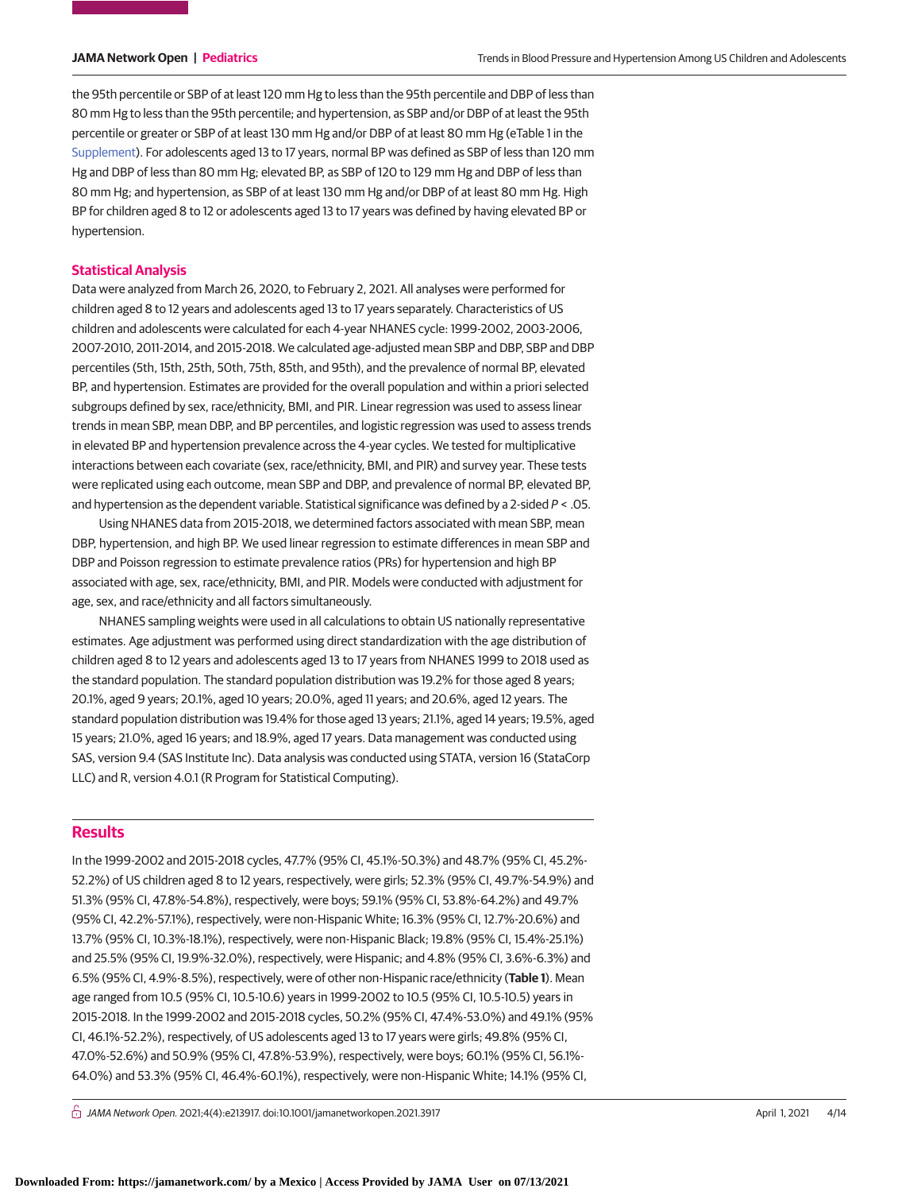the 95th percentile or SBP of at least 120 mm Hg to less than the 95th percentile and DBP of less than 80 mm Hg to less than the 95th percentile; and hypertension, as SBP and/or DBP of at least the 95th percentile or greater or SBP of at least 130 mm Hg and/or DBP of at least 80 mm Hg (eTable 1 in the [Supplement\)](https://jama.jamanetwork.com/article.aspx?doi=10.1001/jamanetworkopen.2021.3917&utm_campaign=articlePDF%26utm_medium=articlePDFlink%26utm_source=articlePDF%26utm_content=jamanetworkopen.2021.3917). For adolescents aged 13 to 17 years, normal BP was defined as SBP of less than 120 mm Hg and DBP of less than 80 mm Hg; elevated BP, as SBP of 120 to 129 mm Hg and DBP of less than 80 mm Hg; and hypertension, as SBP of at least 130 mm Hg and/or DBP of at least 80 mm Hg. High BP for children aged 8 to 12 or adolescents aged 13 to 17 years was defined by having elevated BP or hypertension.

### **Statistical Analysis**

Data were analyzed from March 26, 2020, to February 2, 2021. All analyses were performed for children aged 8 to 12 years and adolescents aged 13 to 17 years separately. Characteristics of US children and adolescents were calculated for each 4-year NHANES cycle: 1999-2002, 2003-2006, 2007-2010, 2011-2014, and 2015-2018. We calculated age-adjusted mean SBP and DBP, SBP and DBP percentiles (5th, 15th, 25th, 50th, 75th, 85th, and 95th), and the prevalence of normal BP, elevated BP, and hypertension. Estimates are provided for the overall population and within a priori selected subgroups defined by sex, race/ethnicity, BMI, and PIR. Linear regression was used to assess linear trends in mean SBP, mean DBP, and BP percentiles, and logistic regression was used to assess trends in elevated BP and hypertension prevalence across the 4-year cycles. We tested for multiplicative interactions between each covariate (sex, race/ethnicity, BMI, and PIR) and survey year. These tests were replicated using each outcome, mean SBP and DBP, and prevalence of normal BP, elevated BP, and hypertension as the dependent variable. Statistical significance was defined by a 2-sided  $P < .05$ .

Using NHANES data from 2015-2018, we determined factors associated with mean SBP, mean DBP, hypertension, and high BP. We used linear regression to estimate differences in mean SBP and DBP and Poisson regression to estimate prevalence ratios (PRs) for hypertension and high BP associated with age, sex, race/ethnicity, BMI, and PIR. Models were conducted with adjustment for age, sex, and race/ethnicity and all factors simultaneously.

NHANES sampling weights were used in all calculations to obtain US nationally representative estimates. Age adjustment was performed using direct standardization with the age distribution of children aged 8 to 12 years and adolescents aged 13 to 17 years from NHANES 1999 to 2018 used as the standard population. The standard population distribution was 19.2% for those aged 8 years; 20.1%, aged 9 years; 20.1%, aged 10 years; 20.0%, aged 11 years; and 20.6%, aged 12 years. The standard population distribution was 19.4% for those aged 13 years; 21.1%, aged 14 years; 19.5%, aged 15 years; 21.0%, aged 16 years; and 18.9%, aged 17 years. Data management was conducted using SAS, version 9.4 (SAS Institute Inc). Data analysis was conducted using STATA, version 16 (StataCorp LLC) and R, version 4.0.1 (R Program for Statistical Computing).

# **Results**

In the 1999-2002 and 2015-2018 cycles, 47.7% (95% CI, 45.1%-50.3%) and 48.7% (95% CI, 45.2%- 52.2%) of US children aged 8 to 12 years, respectively, were girls; 52.3% (95% CI, 49.7%-54.9%) and 51.3% (95% CI, 47.8%-54.8%), respectively, were boys; 59.1% (95% CI, 53.8%-64.2%) and 49.7% (95% CI, 42.2%-57.1%), respectively, were non-Hispanic White; 16.3% (95% CI, 12.7%-20.6%) and 13.7% (95% CI, 10.3%-18.1%), respectively, were non-Hispanic Black; 19.8% (95% CI, 15.4%-25.1%) and 25.5% (95% CI, 19.9%-32.0%), respectively, were Hispanic; and 4.8% (95% CI, 3.6%-6.3%) and 6.5% (95% CI, 4.9%-8.5%), respectively, were of other non-Hispanic race/ethnicity (**Table 1**). Mean age ranged from 10.5 (95% CI, 10.5-10.6) years in 1999-2002 to 10.5 (95% CI, 10.5-10.5) years in 2015-2018. In the 1999-2002 and 2015-2018 cycles, 50.2% (95% CI, 47.4%-53.0%) and 49.1% (95% CI, 46.1%-52.2%), respectively, of US adolescents aged 13 to 17 years were girls; 49.8% (95% CI, 47.0%-52.6%) and 50.9% (95% CI, 47.8%-53.9%), respectively, were boys; 60.1% (95% CI, 56.1%- 64.0%) and 53.3% (95% CI, 46.4%-60.1%), respectively, were non-Hispanic White; 14.1% (95% CI,

 $\bigcap$  JAMA Network Open. 2021;4(4):e213917. doi:10.1001/jamanetworkopen.2021.3917 (April 1, 2021 4/14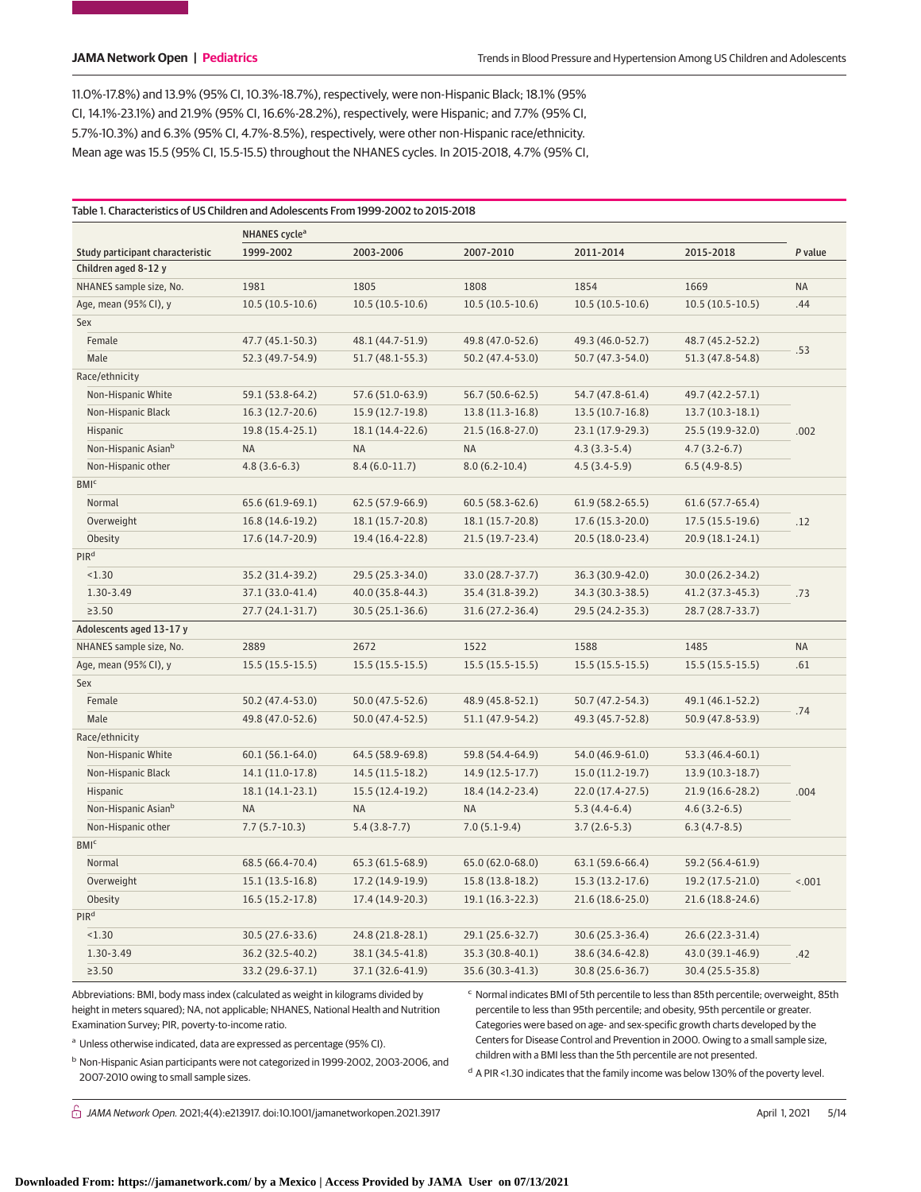11.0%-17.8%) and 13.9% (95% CI, 10.3%-18.7%), respectively, were non-Hispanic Black; 18.1% (95% CI, 14.1%-23.1%) and 21.9% (95% CI, 16.6%-28.2%), respectively, were Hispanic; and 7.7% (95% CI, 5.7%-10.3%) and 6.3% (95% CI, 4.7%-8.5%), respectively, were other non-Hispanic race/ethnicity. Mean age was 15.5 (95% CI, 15.5-15.5) throughout the NHANES cycles. In 2015-2018, 4.7% (95% CI,

|                                  | NHANES cycle <sup>a</sup> |                   |                   |                     |                   |           |  |  |  |
|----------------------------------|---------------------------|-------------------|-------------------|---------------------|-------------------|-----------|--|--|--|
| Study participant characteristic | 1999-2002                 | 2003-2006         | 2007-2010         | 2011-2014           | 2015-2018         | P value   |  |  |  |
| Children aged 8-12 y             |                           |                   |                   |                     |                   |           |  |  |  |
| NHANES sample size, No.          | 1981                      | 1805              | 1808              | 1854                | 1669              | <b>NA</b> |  |  |  |
| Age, mean (95% CI), y            | $10.5(10.5-10.6)$         | $10.5(10.5-10.6)$ | $10.5(10.5-10.6)$ | $10.5(10.5-10.6)$   | $10.5(10.5-10.5)$ | .44       |  |  |  |
| Sex                              |                           |                   |                   |                     |                   |           |  |  |  |
| Female                           | 47.7 (45.1-50.3)          | 48.1 (44.7-51.9)  | 49.8 (47.0-52.6)  | 49.3 (46.0-52.7)    | 48.7 (45.2-52.2)  |           |  |  |  |
| Male                             | 52.3 (49.7-54.9)          | $51.7(48.1-55.3)$ | 50.2 (47.4-53.0)  | 50.7 (47.3-54.0)    | 51.3 (47.8-54.8)  | .53       |  |  |  |
| Race/ethnicity                   |                           |                   |                   |                     |                   |           |  |  |  |
| Non-Hispanic White               | 59.1 (53.8-64.2)          | 57.6 (51.0-63.9)  | 56.7 (50.6-62.5)  | 54.7 (47.8-61.4)    | 49.7 (42.2-57.1)  |           |  |  |  |
| Non-Hispanic Black               | 16.3 (12.7-20.6)          | 15.9 (12.7-19.8)  | 13.8 (11.3-16.8)  | $13.5(10.7-16.8)$   | 13.7 (10.3-18.1)  |           |  |  |  |
| Hispanic                         | 19.8 (15.4-25.1)          | 18.1 (14.4-22.6)  | 21.5 (16.8-27.0)  | 23.1 (17.9-29.3)    | 25.5 (19.9-32.0)  | .002      |  |  |  |
| Non-Hispanic Asian <sup>b</sup>  | <b>NA</b>                 | <b>NA</b>         | <b>NA</b>         | $4.3(3.3-5.4)$      | $4.7(3.2-6.7)$    |           |  |  |  |
| Non-Hispanic other               | $4.8(3.6-6.3)$            | $8.4(6.0-11.7)$   | $8.0(6.2 - 10.4)$ | $4.5(3.4-5.9)$      | $6.5(4.9-8.5)$    |           |  |  |  |
| <b>BMI</b> <sup>c</sup>          |                           |                   |                   |                     |                   |           |  |  |  |
| Normal                           | 65.6 (61.9-69.1)          | 62.5 (57.9-66.9)  | $60.5(58.3-62.6)$ | $61.9(58.2-65.5)$   | $61.6(57.7-65.4)$ |           |  |  |  |
| Overweight                       | 16.8 (14.6-19.2)          | 18.1 (15.7-20.8)  | 18.1 (15.7-20.8)  | $17.6(15.3-20.0)$   | $17.5(15.5-19.6)$ | .12       |  |  |  |
| Obesity                          | 17.6 (14.7-20.9)          | 19.4 (16.4-22.8)  | 21.5 (19.7-23.4)  | 20.5 (18.0-23.4)    | 20.9 (18.1-24.1)  |           |  |  |  |
| PIR <sup>d</sup>                 |                           |                   |                   |                     |                   |           |  |  |  |
| < 1.30                           | 35.2 (31.4-39.2)          | 29.5 (25.3-34.0)  | 33.0 (28.7-37.7)  | 36.3 (30.9-42.0)    | 30.0 (26.2-34.2)  |           |  |  |  |
| 1.30-3.49                        | 37.1 (33.0-41.4)          | 40.0 (35.8-44.3)  | 35.4 (31.8-39.2)  | 34.3 (30.3-38.5)    | 41.2 (37.3-45.3)  | .73       |  |  |  |
| ≥3.50                            | $27.7(24.1-31.7)$         | $30.5(25.1-36.6)$ | 31.6 (27.2-36.4)  | 29.5 (24.2-35.3)    | 28.7 (28.7-33.7)  |           |  |  |  |
| Adolescents aged 13-17 y         |                           |                   |                   |                     |                   |           |  |  |  |
| NHANES sample size, No.          | 2889                      | 2672              | 1522              | 1588                | 1485              | <b>NA</b> |  |  |  |
| Age, mean (95% CI), y            | $15.5(15.5-15.5)$         | $15.5(15.5-15.5)$ | $15.5(15.5-15.5)$ | $15.5(15.5-15.5)$   | $15.5(15.5-15.5)$ | .61       |  |  |  |
| Sex                              |                           |                   |                   |                     |                   |           |  |  |  |
| Female                           | 50.2 (47.4-53.0)          | $50.0(47.5-52.6)$ | 48.9 (45.8-52.1)  | 50.7 (47.2-54.3)    | 49.1 (46.1-52.2)  |           |  |  |  |
| Male                             | 49.8 (47.0-52.6)          | 50.0 (47.4-52.5)  | 51.1 (47.9-54.2)  | 49.3 (45.7-52.8)    | 50.9 (47.8-53.9)  | .74       |  |  |  |
| Race/ethnicity                   |                           |                   |                   |                     |                   |           |  |  |  |
| Non-Hispanic White               | $60.1(56.1-64.0)$         | 64.5 (58.9-69.8)  | 59.8 (54.4-64.9)  | 54.0 (46.9-61.0)    | 53.3 (46.4-60.1)  |           |  |  |  |
| Non-Hispanic Black               | 14.1 (11.0-17.8)          | 14.5 (11.5-18.2)  | 14.9 (12.5-17.7)  | $15.0(11.2-19.7)$   | 13.9 (10.3-18.7)  |           |  |  |  |
| Hispanic                         | 18.1 (14.1-23.1)          | 15.5 (12.4-19.2)  | 18.4 (14.2-23.4)  | $22.0(17.4-27.5)$   | 21.9 (16.6-28.2)  | .004      |  |  |  |
| Non-Hispanic Asian <sup>b</sup>  | <b>NA</b>                 | <b>NA</b>         | <b>NA</b>         | $5.3(4.4-6.4)$      | $4.6(3.2-6.5)$    |           |  |  |  |
| Non-Hispanic other               | $7.7(5.7-10.3)$           | $5.4(3.8-7.7)$    | $7.0(5.1-9.4)$    | $3.7(2.6-5.3)$      | $6.3(4.7-8.5)$    |           |  |  |  |
| <b>BMI</b> <sup>c</sup>          |                           |                   |                   |                     |                   |           |  |  |  |
| Normal                           | 68.5 (66.4-70.4)          | 65.3 (61.5-68.9)  | 65.0 (62.0-68.0)  | 63.1 (59.6-66.4)    | 59.2 (56.4-61.9)  |           |  |  |  |
| Overweight                       | $15.1(13.5-16.8)$         | 17.2 (14.9-19.9)  | 15.8 (13.8-18.2)  | $15.3(13.2-17.6)$   | 19.2 (17.5-21.0)  | < .001    |  |  |  |
| Obesity                          | $16.5(15.2-17.8)$         | 17.4 (14.9-20.3)  | 19.1 (16.3-22.3)  | $21.6(18.6 - 25.0)$ | 21.6 (18.8-24.6)  |           |  |  |  |
| PIR <sup>d</sup>                 |                           |                   |                   |                     |                   |           |  |  |  |
| < 1.30                           | 30.5 (27.6-33.6)          | 24.8 (21.8-28.1)  | 29.1 (25.6-32.7)  | 30.6 (25.3-36.4)    | 26.6 (22.3-31.4)  |           |  |  |  |
| 1.30-3.49                        | 36.2 (32.5-40.2)          | 38.1 (34.5-41.8)  | 35.3 (30.8-40.1)  | 38.6 (34.6-42.8)    | 43.0 (39.1-46.9)  | .42       |  |  |  |
| $\geq 3.50$                      | 33.2 (29.6-37.1)          | 37.1 (32.6-41.9)  | 35.6 (30.3-41.3)  | 30.8 (25.6-36.7)    | 30.4 (25.5-35.8)  |           |  |  |  |

Abbreviations: BMI, body mass index (calculated as weight in kilograms divided by height in meters squared); NA, not applicable; NHANES, National Health and Nutrition Examination Survey; PIR, poverty-to-income ratio.

<sup>a</sup> Unless otherwise indicated, data are expressed as percentage (95% CI).

<sup>c</sup> Normal indicates BMI of 5th percentile to less than 85th percentile; overweight, 85th percentile to less than 95th percentile; and obesity, 95th percentile or greater. Categories were based on age- and sex-specific growth charts developed by the Centers for Disease Control and Prevention in 2000. Owing to a small sample size, children with a BMI less than the 5th percentile are not presented.

<sup>b</sup> Non-Hispanic Asian participants were not categorized in 1999-2002, 2003-2006, and 2007-2010 owing to small sample sizes.

<sup>d</sup> A PIR <1.30 indicates that the family income was below 130% of the poverty level.

 $\bigcap$  JAMA Network Open. 2021;4(4):e213917. doi:10.1001/jamanetworkopen.2021.3917 (April 1, 2021 5/14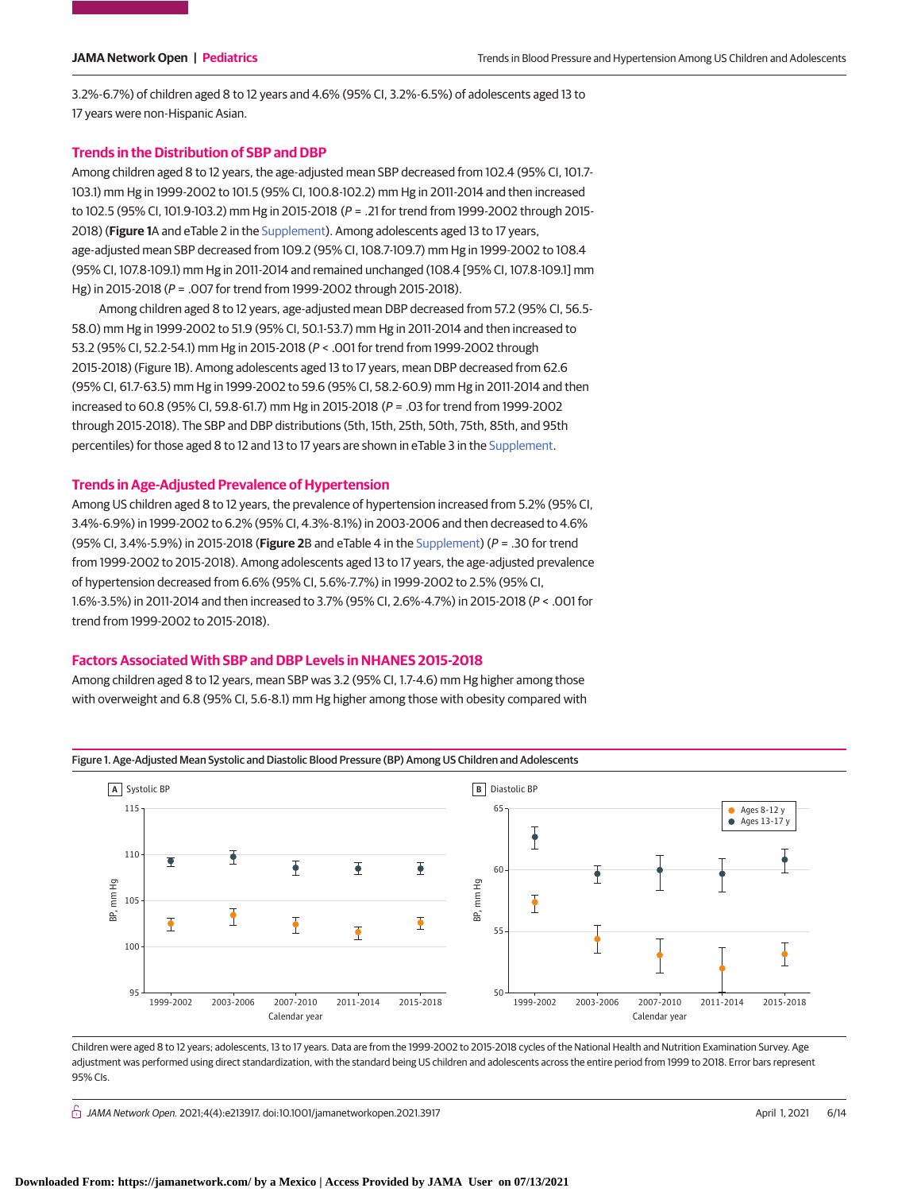3.2%-6.7%) of children aged 8 to 12 years and 4.6% (95% CI, 3.2%-6.5%) of adolescents aged 13 to 17 years were non-Hispanic Asian.

### **Trends in the Distribution of SBP and DBP**

Among children aged 8 to 12 years, the age-adjusted mean SBP decreased from 102.4 (95% CI, 101.7- 103.1) mm Hg in 1999-2002 to 101.5 (95% CI, 100.8-102.2) mm Hg in 2011-2014 and then increased to 102.5 (95% CI, 101.9-103.2) mm Hg in 2015-2018 (P = .21 for trend from 1999-2002 through 2015- 2018) (**Figure 1**A and eTable 2 in the [Supplement\)](https://jama.jamanetwork.com/article.aspx?doi=10.1001/jamanetworkopen.2021.3917&utm_campaign=articlePDF%26utm_medium=articlePDFlink%26utm_source=articlePDF%26utm_content=jamanetworkopen.2021.3917). Among adolescents aged 13 to 17 years, age-adjusted mean SBP decreased from 109.2 (95% CI, 108.7-109.7) mm Hg in 1999-2002 to 108.4 (95% CI, 107.8-109.1) mm Hg in 2011-2014 and remained unchanged (108.4 [95% CI, 107.8-109.1] mm Hg) in 2015-2018 (P = .007 for trend from 1999-2002 through 2015-2018).

Among children aged 8 to 12 years, age-adjusted mean DBP decreased from 57.2 (95% CI, 56.5- 58.0) mm Hg in 1999-2002 to 51.9 (95% CI, 50.1-53.7) mm Hg in 2011-2014 and then increased to 53.2 (95% CI, 52.2-54.1) mm Hg in 2015-2018 (P < .001 for trend from 1999-2002 through 2015-2018) (Figure 1B). Among adolescents aged 13 to 17 years, mean DBP decreased from 62.6 (95% CI, 61.7-63.5) mm Hg in 1999-2002 to 59.6 (95% CI, 58.2-60.9) mm Hg in 2011-2014 and then increased to 60.8 (95% CI, 59.8-61.7) mm Hg in 2015-2018 (P = .03 for trend from 1999-2002 through 2015-2018). The SBP and DBP distributions (5th, 15th, 25th, 50th, 75th, 85th, and 95th percentiles) for those aged 8 to 12 and 13 to 17 years are shown in eTable 3 in the [Supplement.](https://jama.jamanetwork.com/article.aspx?doi=10.1001/jamanetworkopen.2021.3917&utm_campaign=articlePDF%26utm_medium=articlePDFlink%26utm_source=articlePDF%26utm_content=jamanetworkopen.2021.3917)

### **Trends in Age-Adjusted Prevalence of Hypertension**

Among US children aged 8 to 12 years, the prevalence of hypertension increased from 5.2% (95% CI, 3.4%-6.9%) in 1999-2002 to 6.2% (95% CI, 4.3%-8.1%) in 2003-2006 and then decreased to 4.6% (95% CI, 3.4%-5.9%) in 2015-2018 (**Figure 2**B and eTable 4 in the [Supplement\)](https://jama.jamanetwork.com/article.aspx?doi=10.1001/jamanetworkopen.2021.3917&utm_campaign=articlePDF%26utm_medium=articlePDFlink%26utm_source=articlePDF%26utm_content=jamanetworkopen.2021.3917) (P = .30 for trend from 1999-2002 to 2015-2018). Among adolescents aged 13 to 17 years, the age-adjusted prevalence of hypertension decreased from 6.6% (95% CI, 5.6%-7.7%) in 1999-2002 to 2.5% (95% CI, 1.6%-3.5%) in 2011-2014 and then increased to 3.7% (95% CI, 2.6%-4.7%) in 2015-2018 (P < .001 for trend from 1999-2002 to 2015-2018).

### **Factors Associated With SBP and DBP Levels in NHANES 2015-2018**

Among children aged 8 to 12 years, mean SBP was 3.2 (95% CI, 1.7-4.6) mm Hg higher among those with overweight and 6.8 (95% CI, 5.6-8.1) mm Hg higher among those with obesity compared with



Figure 1. Age-Adjusted Mean Systolic and Diastolic Blood Pressure (BP) Among US Children and Adolescents

Children were aged 8 to 12 years; adolescents, 13 to 17 years. Data are from the 1999-2002 to 2015-2018 cycles of the National Health and Nutrition Examination Survey. Age adjustment was performed using direct standardization, with the standard being US children and adolescents across the entire period from 1999 to 2018. Error bars represent 95% CIs.

 $\bigcap$  JAMA Network Open. 2021;4(4):e213917. doi:10.1001/jamanetworkopen.2021.3917 (April 1, 2021 6/14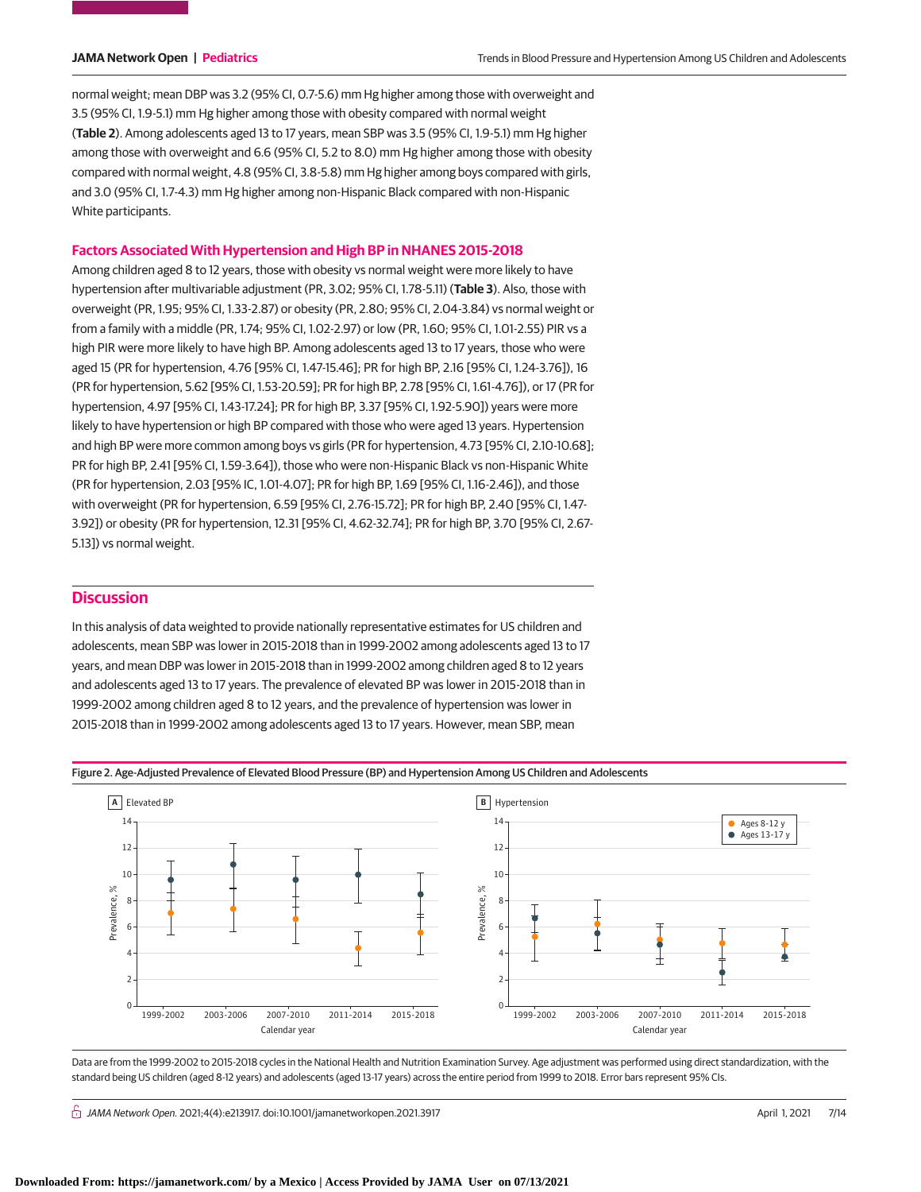normal weight; mean DBP was 3.2 (95% CI, 0.7-5.6) mm Hg higher among those with overweight and 3.5 (95% CI, 1.9-5.1) mm Hg higher among those with obesity compared with normal weight (**Table 2**). Among adolescents aged 13 to 17 years, mean SBP was 3.5 (95% CI, 1.9-5.1) mm Hg higher among those with overweight and 6.6 (95% CI, 5.2 to 8.0) mm Hg higher among those with obesity compared with normal weight, 4.8 (95% CI, 3.8-5.8) mm Hg higher among boys compared with girls, and 3.0 (95% CI, 1.7-4.3) mm Hg higher among non-Hispanic Black compared with non-Hispanic White participants.

#### **Factors Associated With Hypertension and High BP in NHANES 2015-2018**

Among children aged 8 to 12 years, those with obesity vs normal weight were more likely to have hypertension after multivariable adjustment (PR, 3.02; 95% CI, 1.78-5.11) (**Table 3**). Also, those with overweight (PR, 1.95; 95% CI, 1.33-2.87) or obesity (PR, 2.80; 95% CI, 2.04-3.84) vs normal weight or from a family with a middle (PR, 1.74; 95% CI, 1.02-2.97) or low (PR, 1.60; 95% CI, 1.01-2.55) PIR vs a high PIR were more likely to have high BP. Among adolescents aged 13 to 17 years, those who were aged 15 (PR for hypertension, 4.76 [95% CI, 1.47-15.46]; PR for high BP, 2.16 [95% CI, 1.24-3.76]), 16 (PR for hypertension, 5.62 [95% CI, 1.53-20.59]; PR for high BP, 2.78 [95% CI, 1.61-4.76]), or 17 (PR for hypertension, 4.97 [95% CI, 1.43-17.24]; PR for high BP, 3.37 [95% CI, 1.92-5.90]) years were more likely to have hypertension or high BP compared with those who were aged 13 years. Hypertension and high BP were more common among boys vs girls (PR for hypertension, 4.73 [95% CI, 2.10-10.68]; PR for high BP, 2.41 [95% CI, 1.59-3.64]), those who were non-Hispanic Black vs non-Hispanic White (PR for hypertension, 2.03 [95% IC, 1.01-4.07]; PR for high BP, 1.69 [95% CI, 1.16-2.46]), and those with overweight (PR for hypertension, 6.59 [95% CI, 2.76-15.72]; PR for high BP, 2.40 [95% CI, 1.47- 3.92]) or obesity (PR for hypertension, 12.31 [95% CI, 4.62-32.74]; PR for high BP, 3.70 [95% CI, 2.67- 5.13]) vs normal weight.

# **Discussion**

In this analysis of data weighted to provide nationally representative estimates for US children and adolescents, mean SBP was lower in 2015-2018 than in 1999-2002 among adolescents aged 13 to 17 years, and mean DBP was lower in 2015-2018 than in 1999-2002 among children aged 8 to 12 years and adolescents aged 13 to 17 years. The prevalence of elevated BP was lower in 2015-2018 than in 1999-2002 among children aged 8 to 12 years, and the prevalence of hypertension was lower in 2015-2018 than in 1999-2002 among adolescents aged 13 to 17 years. However, mean SBP, mean





Data are from the 1999-2002 to 2015-2018 cycles in the National Health and Nutrition Examination Survey. Age adjustment was performed using direct standardization, with the standard being US children (aged 8-12 years) and adolescents (aged 13-17 years) across the entire period from 1999 to 2018. Error bars represent 95% CIs.

 $\bigcap$  JAMA Network Open. 2021;4(4):e213917. doi:10.1001/jamanetworkopen.2021.3917 (April 1, 2021 7/14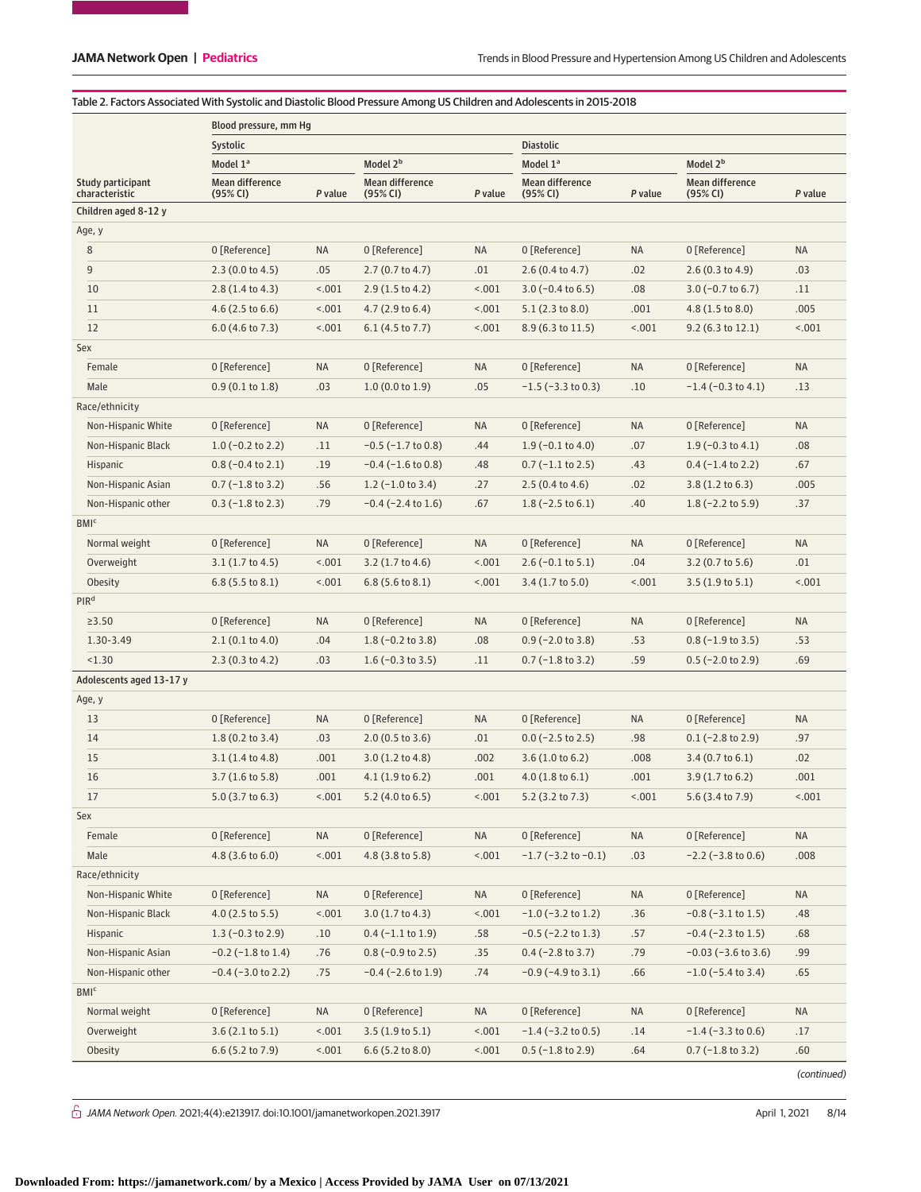### Table 2. Factors Associated With Systolic and Diastolic Blood Pressure Among US Children and Adolescents in 2015-2018

| Systolic<br><b>Diastolic</b><br>Model 2 <sup>b</sup><br>Model 2 <sup>b</sup><br>Model 1ª<br>Model 1ª<br><b>Mean difference</b><br><b>Mean difference</b><br>Mean difference<br><b>Mean difference</b><br>Study participant<br>characteristic<br>(95% CI)<br>P value<br>(95% CI)<br>P value<br>(95% CI)<br>P value<br>(95% CI)<br>P value<br>Children aged 8-12 y<br>Age, y<br>8<br>0 [Reference]<br><b>NA</b><br>0 [Reference]<br>0 [Reference]<br>NA<br>NA<br>0 [Reference]<br><b>NA</b><br>9<br>.01<br>.02<br>.03<br>2.3(0.0 to 4.5)<br>.05<br>2.7(0.7 to 4.7)<br>2.6(0.4 to 4.7)<br>2.6(0.3 to 4.9)<br>10<br>2.8(1.4 to 4.3)<br>< .001<br>$2.9(1.5 \text{ to } 4.2)$<br>< .001<br>$3.0$ (-0.4 to 6.5)<br>.08<br>$3.0$ (-0.7 to 6.7)<br>.11<br>1001<br>.001<br>.005<br>11<br>$4.6$ (2.5 to 6.6)<br>4.7(2.9 to 6.4)<br>< .001<br>5.1(2.3 to 8.0)<br>4.8 (1.5 to 8.0)<br>12<br>< .001<br>1001<br>$6.0$ (4.6 to 7.3)<br>1001<br>$6.1$ (4.5 to 7.7)<br>8.9 (6.3 to 11.5)<br>$9.2$ (6.3 to 12.1)<br>< .001<br>Sex<br>0 [Reference]<br><b>NA</b><br>0 [Reference]<br><b>NA</b><br>0 [Reference]<br><b>NA</b><br>Female<br>0 [Reference]<br>ΝA<br>.05<br>Male<br>0.9(0.1 to 1.8)<br>.03<br>1.0(0.0 to 1.9)<br>$-1.5$ ( $-3.3$ to 0.3)<br>.10<br>$-1.4$ ( $-0.3$ to 4.1)<br>.13<br>Race/ethnicity<br>Non-Hispanic White<br>0 [Reference]<br><b>NA</b><br>0 [Reference]<br><b>NA</b><br>0 [Reference]<br><b>NA</b><br>0 [Reference]<br><b>NA</b><br>Non-Hispanic Black<br>$1.0$ (-0.2 to 2.2)<br>$-0.5$ ( $-1.7$ to 0.8)<br>.44<br>$1.9$ (-0.1 to 4.0)<br>.07<br>$1.9$ (-0.3 to 4.1)<br>.08<br>.11<br>$0.8$ (-0.4 to 2.1)<br>$-0.4$ ( $-1.6$ to 0.8)<br>.48<br>$0.7$ (-1.1 to 2.5)<br>.43<br>$0.4$ ( $-1.4$ to 2.2)<br>.67<br>Hispanic<br>.19<br>.005<br>Non-Hispanic Asian<br>$0.7$ (-1.8 to 3.2)<br>.56<br>$1.2$ (-1.0 to 3.4)<br>.27<br>$2.5(0.4 \text{ to } 4.6)$<br>.02<br>$3.8(1.2 \text{ to } 6.3)$<br>Non-Hispanic other<br>$0.3$ ( $-1.8$ to 2.3)<br>.79<br>$-0.4$ ( $-2.4$ to 1.6)<br>.67<br>$1.8$ (-2.5 to 6.1)<br>.40<br>$1.8$ (-2.2 to 5.9)<br>.37<br><b>BMI</b> <sup>c</sup><br>0 [Reference]<br>Normal weight<br>0 [Reference]<br><b>NA</b><br>0 [Reference]<br>NA<br><b>NA</b><br>0 [Reference]<br><b>NA</b><br>< .001<br>.04<br>Overweight<br>$3.1(1.7 \text{ to } 4.5)$<br>< .001<br>$3.2$ (1.7 to 4.6)<br>$2.6$ (-0.1 to 5.1)<br>$3.2$ (0.7 to 5.6)<br>.01<br>1001<br>< .001<br>< .001<br>1001<br>Obesity<br>$6.8$ (5.5 to 8.1)<br>$6.8$ (5.6 to 8.1)<br>$3.4(1.7 \text{ to } 5.0)$<br>$3.5(1.9 \text{ to } 5.1)$<br>PIR <sup>d</sup><br><b>NA</b><br><b>NA</b><br><b>NA</b><br>≥3.50<br>0 [Reference]<br>ΝA<br>0 [Reference]<br>0 [Reference]<br>0 [Reference]<br>1.30-3.49<br>.08<br>.53<br>2.1(0.1 to 4.0)<br>.04<br>$1.8$ (-0.2 to 3.8)<br>$0.9$ (-2.0 to 3.8)<br>.53<br>$0.8$ (-1.9 to 3.5)<br>< 1.30<br>2.3(0.3 to 4.2)<br>.03<br>$1.6$ (-0.3 to 3.5)<br>.11<br>$0.7$ (-1.8 to 3.2)<br>.59<br>$0.5$ (-2.0 to 2.9)<br>.69<br>Adolescents aged 13-17 y<br>Age, y<br>13<br>0 [Reference]<br>ΝA<br>0 [Reference]<br>NA<br>0 [Reference]<br>NA<br>0 [Reference]<br><b>NA</b><br>14<br>$1.8(0.2 \text{ to } 3.4)$<br>.03<br>2.0(0.5 to 3.6)<br>.01<br>$0.0$ (-2.5 to 2.5)<br>.98<br>$0.1$ (-2.8 to 2.9)<br>.97<br>15<br>.02<br>$3.1(1.4 \text{ to } 4.8)$<br>.001<br>$3.0(1.2 \text{ to } 4.8)$<br>.002<br>3.6(1.0 to 6.2)<br>.008<br>$3.4(0.7 \text{ to } 6.1)$<br>.001<br>16<br>$3.7(1.6 \text{ to } 5.8)$<br>.001<br>4.1(1.9 to 6.2)<br>.001<br>4.0(1.8 to 6.1)<br>.001<br>$3.9(1.7 \text{ to } 6.2)$<br>$5.0$ (3.7 to 6.3)<br>1001<br>15001<br>1001<br>5.6 (3.4 to 7.9)<br>1001<br>17<br>$5.2$ (4.0 to 6.5)<br>5.2 (3.2 to 7.3)<br>Sex<br>Female<br>0 [Reference]<br>NA<br>0 [Reference]<br>0 [Reference]<br><b>NA</b><br>0 [Reference]<br>ΝA<br>NA<br>Male<br>15.001<br>18.001<br>4.8 (3.6 to 6.0)<br>4.8 (3.8 to 5.8)<br>$-1.7$ ( $-3.2$ to $-0.1$ )<br>$-2.2$ ( $-3.8$ to 0.6)<br>.008<br>.03<br>Race/ethnicity<br>Non-Hispanic White<br>0 [Reference]<br>NA<br>0 [Reference]<br>NA<br>0 [Reference]<br><b>NA</b><br>0 [Reference]<br><b>NA</b><br>1001<br>3.0(1.7 to 4.3)<br>1001<br>Non-Hispanic Black<br>$4.0$ (2.5 to 5.5)<br>$-1.0$ ( $-3.2$ to 1.2)<br>.36<br>$-0.8$ ( $-3.1$ to 1.5)<br>.48<br>$1.3(-0.3 \text{ to } 2.9)$<br>.58<br>$-0.5$ ( $-2.2$ to 1.3)<br>Hispanic<br>.10<br>$0.4$ (-1.1 to 1.9)<br>.57<br>$-0.4$ ( $-2.3$ to 1.5)<br>.68<br>.35<br>Non-Hispanic Asian<br>$-0.2$ ( $-1.8$ to 1.4)<br>.76<br>$0.8$ (-0.9 to 2.5)<br>$0.4$ (-2.8 to 3.7)<br>.79<br>$-0.03$ ( $-3.6$ to 3.6)<br>.99<br>.75<br>.74<br>$-0.9$ ( $-4.9$ to 3.1)<br>.66<br>Non-Hispanic other<br>$-0.4$ ( $-3.0$ to 2.2)<br>$-0.4$ ( $-2.6$ to 1.9)<br>$-1.0$ ( $-5.4$ to 3.4)<br>.65<br><b>BMI</b> <sup>c</sup><br>Normal weight<br>0 [Reference]<br>NA<br>0 [Reference]<br>NA<br>0 [Reference]<br>NA<br>0 [Reference]<br><b>NA</b><br>3.6(2.1 to 5.1)<br>1001<br>3.5(1.9 to 5.1)<br>1001<br>$-1.4$ ( $-3.2$ to 0.5)<br>Overweight<br>.14<br>$-1.4$ ( $-3.3$ to 0.6)<br>.17<br>6.6 (5.2 to 7.9)<br>1001<br>Obesity<br>15.001<br>$6.6$ (5.2 to 8.0)<br>$0.5$ (-1.8 to 2.9)<br>.64<br>$0.7$ (-1.8 to 3.2)<br>.60 | Blood pressure, mm Hq |  |  |  |  |  |  |  |  |  |
|--------------------------------------------------------------------------------------------------------------------------------------------------------------------------------------------------------------------------------------------------------------------------------------------------------------------------------------------------------------------------------------------------------------------------------------------------------------------------------------------------------------------------------------------------------------------------------------------------------------------------------------------------------------------------------------------------------------------------------------------------------------------------------------------------------------------------------------------------------------------------------------------------------------------------------------------------------------------------------------------------------------------------------------------------------------------------------------------------------------------------------------------------------------------------------------------------------------------------------------------------------------------------------------------------------------------------------------------------------------------------------------------------------------------------------------------------------------------------------------------------------------------------------------------------------------------------------------------------------------------------------------------------------------------------------------------------------------------------------------------------------------------------------------------------------------------------------------------------------------------------------------------------------------------------------------------------------------------------------------------------------------------------------------------------------------------------------------------------------------------------------------------------------------------------------------------------------------------------------------------------------------------------------------------------------------------------------------------------------------------------------------------------------------------------------------------------------------------------------------------------------------------------------------------------------------------------------------------------------------------------------------------------------------------------------------------------------------------------------------------------------------------------------------------------------------------------------------------------------------------------------------------------------------------------------------------------------------------------------------------------------------------------------------------------------------------------------------------------------------------------------------------------------------------------------------------------------------------------------------------------------------------------------------------------------------------------------------------------------------------------------------------------------------------------------------------------------------------------------------------------------------------------------------------------------------------------------------------------------------------------------------------------------------------------------------------------------------------------------------------------------------------------------------------------------------------------------------------------------------------------------------------------------------------------------------------------------------------------------------------------------------------------------------------------------------------------------------------------------------------------------------------------------------------------------------------------------------------------------------------------------------------------------------------------------------------------------------------------------------------------------------------------------------------------------------------------------------------------------------------------------------------------------------------------------------------------------------------------------------------------------------------------------------------------------------------------------------------------------------------------------------------------------------------------------------------------------------------------------------------------------------------------------------------------------------------------------------------------------------------------------------------------------------------------------------------------------------------------------------------------|-----------------------|--|--|--|--|--|--|--|--|--|
|                                                                                                                                                                                                                                                                                                                                                                                                                                                                                                                                                                                                                                                                                                                                                                                                                                                                                                                                                                                                                                                                                                                                                                                                                                                                                                                                                                                                                                                                                                                                                                                                                                                                                                                                                                                                                                                                                                                                                                                                                                                                                                                                                                                                                                                                                                                                                                                                                                                                                                                                                                                                                                                                                                                                                                                                                                                                                                                                                                                                                                                                                                                                                                                                                                                                                                                                                                                                                                                                                                                                                                                                                                                                                                                                                                                                                                                                                                                                                                                                                                                                                                                                                                                                                                                                                                                                                                                                                                                                                                                                                                                                                                                                                                                                                                                                                                                                                                                                                                                                                                                                                                                          |                       |  |  |  |  |  |  |  |  |  |
|                                                                                                                                                                                                                                                                                                                                                                                                                                                                                                                                                                                                                                                                                                                                                                                                                                                                                                                                                                                                                                                                                                                                                                                                                                                                                                                                                                                                                                                                                                                                                                                                                                                                                                                                                                                                                                                                                                                                                                                                                                                                                                                                                                                                                                                                                                                                                                                                                                                                                                                                                                                                                                                                                                                                                                                                                                                                                                                                                                                                                                                                                                                                                                                                                                                                                                                                                                                                                                                                                                                                                                                                                                                                                                                                                                                                                                                                                                                                                                                                                                                                                                                                                                                                                                                                                                                                                                                                                                                                                                                                                                                                                                                                                                                                                                                                                                                                                                                                                                                                                                                                                                                          |                       |  |  |  |  |  |  |  |  |  |
|                                                                                                                                                                                                                                                                                                                                                                                                                                                                                                                                                                                                                                                                                                                                                                                                                                                                                                                                                                                                                                                                                                                                                                                                                                                                                                                                                                                                                                                                                                                                                                                                                                                                                                                                                                                                                                                                                                                                                                                                                                                                                                                                                                                                                                                                                                                                                                                                                                                                                                                                                                                                                                                                                                                                                                                                                                                                                                                                                                                                                                                                                                                                                                                                                                                                                                                                                                                                                                                                                                                                                                                                                                                                                                                                                                                                                                                                                                                                                                                                                                                                                                                                                                                                                                                                                                                                                                                                                                                                                                                                                                                                                                                                                                                                                                                                                                                                                                                                                                                                                                                                                                                          |                       |  |  |  |  |  |  |  |  |  |
|                                                                                                                                                                                                                                                                                                                                                                                                                                                                                                                                                                                                                                                                                                                                                                                                                                                                                                                                                                                                                                                                                                                                                                                                                                                                                                                                                                                                                                                                                                                                                                                                                                                                                                                                                                                                                                                                                                                                                                                                                                                                                                                                                                                                                                                                                                                                                                                                                                                                                                                                                                                                                                                                                                                                                                                                                                                                                                                                                                                                                                                                                                                                                                                                                                                                                                                                                                                                                                                                                                                                                                                                                                                                                                                                                                                                                                                                                                                                                                                                                                                                                                                                                                                                                                                                                                                                                                                                                                                                                                                                                                                                                                                                                                                                                                                                                                                                                                                                                                                                                                                                                                                          |                       |  |  |  |  |  |  |  |  |  |
|                                                                                                                                                                                                                                                                                                                                                                                                                                                                                                                                                                                                                                                                                                                                                                                                                                                                                                                                                                                                                                                                                                                                                                                                                                                                                                                                                                                                                                                                                                                                                                                                                                                                                                                                                                                                                                                                                                                                                                                                                                                                                                                                                                                                                                                                                                                                                                                                                                                                                                                                                                                                                                                                                                                                                                                                                                                                                                                                                                                                                                                                                                                                                                                                                                                                                                                                                                                                                                                                                                                                                                                                                                                                                                                                                                                                                                                                                                                                                                                                                                                                                                                                                                                                                                                                                                                                                                                                                                                                                                                                                                                                                                                                                                                                                                                                                                                                                                                                                                                                                                                                                                                          |                       |  |  |  |  |  |  |  |  |  |
|                                                                                                                                                                                                                                                                                                                                                                                                                                                                                                                                                                                                                                                                                                                                                                                                                                                                                                                                                                                                                                                                                                                                                                                                                                                                                                                                                                                                                                                                                                                                                                                                                                                                                                                                                                                                                                                                                                                                                                                                                                                                                                                                                                                                                                                                                                                                                                                                                                                                                                                                                                                                                                                                                                                                                                                                                                                                                                                                                                                                                                                                                                                                                                                                                                                                                                                                                                                                                                                                                                                                                                                                                                                                                                                                                                                                                                                                                                                                                                                                                                                                                                                                                                                                                                                                                                                                                                                                                                                                                                                                                                                                                                                                                                                                                                                                                                                                                                                                                                                                                                                                                                                          |                       |  |  |  |  |  |  |  |  |  |
|                                                                                                                                                                                                                                                                                                                                                                                                                                                                                                                                                                                                                                                                                                                                                                                                                                                                                                                                                                                                                                                                                                                                                                                                                                                                                                                                                                                                                                                                                                                                                                                                                                                                                                                                                                                                                                                                                                                                                                                                                                                                                                                                                                                                                                                                                                                                                                                                                                                                                                                                                                                                                                                                                                                                                                                                                                                                                                                                                                                                                                                                                                                                                                                                                                                                                                                                                                                                                                                                                                                                                                                                                                                                                                                                                                                                                                                                                                                                                                                                                                                                                                                                                                                                                                                                                                                                                                                                                                                                                                                                                                                                                                                                                                                                                                                                                                                                                                                                                                                                                                                                                                                          |                       |  |  |  |  |  |  |  |  |  |
|                                                                                                                                                                                                                                                                                                                                                                                                                                                                                                                                                                                                                                                                                                                                                                                                                                                                                                                                                                                                                                                                                                                                                                                                                                                                                                                                                                                                                                                                                                                                                                                                                                                                                                                                                                                                                                                                                                                                                                                                                                                                                                                                                                                                                                                                                                                                                                                                                                                                                                                                                                                                                                                                                                                                                                                                                                                                                                                                                                                                                                                                                                                                                                                                                                                                                                                                                                                                                                                                                                                                                                                                                                                                                                                                                                                                                                                                                                                                                                                                                                                                                                                                                                                                                                                                                                                                                                                                                                                                                                                                                                                                                                                                                                                                                                                                                                                                                                                                                                                                                                                                                                                          |                       |  |  |  |  |  |  |  |  |  |
|                                                                                                                                                                                                                                                                                                                                                                                                                                                                                                                                                                                                                                                                                                                                                                                                                                                                                                                                                                                                                                                                                                                                                                                                                                                                                                                                                                                                                                                                                                                                                                                                                                                                                                                                                                                                                                                                                                                                                                                                                                                                                                                                                                                                                                                                                                                                                                                                                                                                                                                                                                                                                                                                                                                                                                                                                                                                                                                                                                                                                                                                                                                                                                                                                                                                                                                                                                                                                                                                                                                                                                                                                                                                                                                                                                                                                                                                                                                                                                                                                                                                                                                                                                                                                                                                                                                                                                                                                                                                                                                                                                                                                                                                                                                                                                                                                                                                                                                                                                                                                                                                                                                          |                       |  |  |  |  |  |  |  |  |  |
|                                                                                                                                                                                                                                                                                                                                                                                                                                                                                                                                                                                                                                                                                                                                                                                                                                                                                                                                                                                                                                                                                                                                                                                                                                                                                                                                                                                                                                                                                                                                                                                                                                                                                                                                                                                                                                                                                                                                                                                                                                                                                                                                                                                                                                                                                                                                                                                                                                                                                                                                                                                                                                                                                                                                                                                                                                                                                                                                                                                                                                                                                                                                                                                                                                                                                                                                                                                                                                                                                                                                                                                                                                                                                                                                                                                                                                                                                                                                                                                                                                                                                                                                                                                                                                                                                                                                                                                                                                                                                                                                                                                                                                                                                                                                                                                                                                                                                                                                                                                                                                                                                                                          |                       |  |  |  |  |  |  |  |  |  |
|                                                                                                                                                                                                                                                                                                                                                                                                                                                                                                                                                                                                                                                                                                                                                                                                                                                                                                                                                                                                                                                                                                                                                                                                                                                                                                                                                                                                                                                                                                                                                                                                                                                                                                                                                                                                                                                                                                                                                                                                                                                                                                                                                                                                                                                                                                                                                                                                                                                                                                                                                                                                                                                                                                                                                                                                                                                                                                                                                                                                                                                                                                                                                                                                                                                                                                                                                                                                                                                                                                                                                                                                                                                                                                                                                                                                                                                                                                                                                                                                                                                                                                                                                                                                                                                                                                                                                                                                                                                                                                                                                                                                                                                                                                                                                                                                                                                                                                                                                                                                                                                                                                                          |                       |  |  |  |  |  |  |  |  |  |
|                                                                                                                                                                                                                                                                                                                                                                                                                                                                                                                                                                                                                                                                                                                                                                                                                                                                                                                                                                                                                                                                                                                                                                                                                                                                                                                                                                                                                                                                                                                                                                                                                                                                                                                                                                                                                                                                                                                                                                                                                                                                                                                                                                                                                                                                                                                                                                                                                                                                                                                                                                                                                                                                                                                                                                                                                                                                                                                                                                                                                                                                                                                                                                                                                                                                                                                                                                                                                                                                                                                                                                                                                                                                                                                                                                                                                                                                                                                                                                                                                                                                                                                                                                                                                                                                                                                                                                                                                                                                                                                                                                                                                                                                                                                                                                                                                                                                                                                                                                                                                                                                                                                          |                       |  |  |  |  |  |  |  |  |  |
|                                                                                                                                                                                                                                                                                                                                                                                                                                                                                                                                                                                                                                                                                                                                                                                                                                                                                                                                                                                                                                                                                                                                                                                                                                                                                                                                                                                                                                                                                                                                                                                                                                                                                                                                                                                                                                                                                                                                                                                                                                                                                                                                                                                                                                                                                                                                                                                                                                                                                                                                                                                                                                                                                                                                                                                                                                                                                                                                                                                                                                                                                                                                                                                                                                                                                                                                                                                                                                                                                                                                                                                                                                                                                                                                                                                                                                                                                                                                                                                                                                                                                                                                                                                                                                                                                                                                                                                                                                                                                                                                                                                                                                                                                                                                                                                                                                                                                                                                                                                                                                                                                                                          |                       |  |  |  |  |  |  |  |  |  |
|                                                                                                                                                                                                                                                                                                                                                                                                                                                                                                                                                                                                                                                                                                                                                                                                                                                                                                                                                                                                                                                                                                                                                                                                                                                                                                                                                                                                                                                                                                                                                                                                                                                                                                                                                                                                                                                                                                                                                                                                                                                                                                                                                                                                                                                                                                                                                                                                                                                                                                                                                                                                                                                                                                                                                                                                                                                                                                                                                                                                                                                                                                                                                                                                                                                                                                                                                                                                                                                                                                                                                                                                                                                                                                                                                                                                                                                                                                                                                                                                                                                                                                                                                                                                                                                                                                                                                                                                                                                                                                                                                                                                                                                                                                                                                                                                                                                                                                                                                                                                                                                                                                                          |                       |  |  |  |  |  |  |  |  |  |
|                                                                                                                                                                                                                                                                                                                                                                                                                                                                                                                                                                                                                                                                                                                                                                                                                                                                                                                                                                                                                                                                                                                                                                                                                                                                                                                                                                                                                                                                                                                                                                                                                                                                                                                                                                                                                                                                                                                                                                                                                                                                                                                                                                                                                                                                                                                                                                                                                                                                                                                                                                                                                                                                                                                                                                                                                                                                                                                                                                                                                                                                                                                                                                                                                                                                                                                                                                                                                                                                                                                                                                                                                                                                                                                                                                                                                                                                                                                                                                                                                                                                                                                                                                                                                                                                                                                                                                                                                                                                                                                                                                                                                                                                                                                                                                                                                                                                                                                                                                                                                                                                                                                          |                       |  |  |  |  |  |  |  |  |  |
|                                                                                                                                                                                                                                                                                                                                                                                                                                                                                                                                                                                                                                                                                                                                                                                                                                                                                                                                                                                                                                                                                                                                                                                                                                                                                                                                                                                                                                                                                                                                                                                                                                                                                                                                                                                                                                                                                                                                                                                                                                                                                                                                                                                                                                                                                                                                                                                                                                                                                                                                                                                                                                                                                                                                                                                                                                                                                                                                                                                                                                                                                                                                                                                                                                                                                                                                                                                                                                                                                                                                                                                                                                                                                                                                                                                                                                                                                                                                                                                                                                                                                                                                                                                                                                                                                                                                                                                                                                                                                                                                                                                                                                                                                                                                                                                                                                                                                                                                                                                                                                                                                                                          |                       |  |  |  |  |  |  |  |  |  |
|                                                                                                                                                                                                                                                                                                                                                                                                                                                                                                                                                                                                                                                                                                                                                                                                                                                                                                                                                                                                                                                                                                                                                                                                                                                                                                                                                                                                                                                                                                                                                                                                                                                                                                                                                                                                                                                                                                                                                                                                                                                                                                                                                                                                                                                                                                                                                                                                                                                                                                                                                                                                                                                                                                                                                                                                                                                                                                                                                                                                                                                                                                                                                                                                                                                                                                                                                                                                                                                                                                                                                                                                                                                                                                                                                                                                                                                                                                                                                                                                                                                                                                                                                                                                                                                                                                                                                                                                                                                                                                                                                                                                                                                                                                                                                                                                                                                                                                                                                                                                                                                                                                                          |                       |  |  |  |  |  |  |  |  |  |
|                                                                                                                                                                                                                                                                                                                                                                                                                                                                                                                                                                                                                                                                                                                                                                                                                                                                                                                                                                                                                                                                                                                                                                                                                                                                                                                                                                                                                                                                                                                                                                                                                                                                                                                                                                                                                                                                                                                                                                                                                                                                                                                                                                                                                                                                                                                                                                                                                                                                                                                                                                                                                                                                                                                                                                                                                                                                                                                                                                                                                                                                                                                                                                                                                                                                                                                                                                                                                                                                                                                                                                                                                                                                                                                                                                                                                                                                                                                                                                                                                                                                                                                                                                                                                                                                                                                                                                                                                                                                                                                                                                                                                                                                                                                                                                                                                                                                                                                                                                                                                                                                                                                          |                       |  |  |  |  |  |  |  |  |  |
|                                                                                                                                                                                                                                                                                                                                                                                                                                                                                                                                                                                                                                                                                                                                                                                                                                                                                                                                                                                                                                                                                                                                                                                                                                                                                                                                                                                                                                                                                                                                                                                                                                                                                                                                                                                                                                                                                                                                                                                                                                                                                                                                                                                                                                                                                                                                                                                                                                                                                                                                                                                                                                                                                                                                                                                                                                                                                                                                                                                                                                                                                                                                                                                                                                                                                                                                                                                                                                                                                                                                                                                                                                                                                                                                                                                                                                                                                                                                                                                                                                                                                                                                                                                                                                                                                                                                                                                                                                                                                                                                                                                                                                                                                                                                                                                                                                                                                                                                                                                                                                                                                                                          |                       |  |  |  |  |  |  |  |  |  |
|                                                                                                                                                                                                                                                                                                                                                                                                                                                                                                                                                                                                                                                                                                                                                                                                                                                                                                                                                                                                                                                                                                                                                                                                                                                                                                                                                                                                                                                                                                                                                                                                                                                                                                                                                                                                                                                                                                                                                                                                                                                                                                                                                                                                                                                                                                                                                                                                                                                                                                                                                                                                                                                                                                                                                                                                                                                                                                                                                                                                                                                                                                                                                                                                                                                                                                                                                                                                                                                                                                                                                                                                                                                                                                                                                                                                                                                                                                                                                                                                                                                                                                                                                                                                                                                                                                                                                                                                                                                                                                                                                                                                                                                                                                                                                                                                                                                                                                                                                                                                                                                                                                                          |                       |  |  |  |  |  |  |  |  |  |
|                                                                                                                                                                                                                                                                                                                                                                                                                                                                                                                                                                                                                                                                                                                                                                                                                                                                                                                                                                                                                                                                                                                                                                                                                                                                                                                                                                                                                                                                                                                                                                                                                                                                                                                                                                                                                                                                                                                                                                                                                                                                                                                                                                                                                                                                                                                                                                                                                                                                                                                                                                                                                                                                                                                                                                                                                                                                                                                                                                                                                                                                                                                                                                                                                                                                                                                                                                                                                                                                                                                                                                                                                                                                                                                                                                                                                                                                                                                                                                                                                                                                                                                                                                                                                                                                                                                                                                                                                                                                                                                                                                                                                                                                                                                                                                                                                                                                                                                                                                                                                                                                                                                          |                       |  |  |  |  |  |  |  |  |  |
|                                                                                                                                                                                                                                                                                                                                                                                                                                                                                                                                                                                                                                                                                                                                                                                                                                                                                                                                                                                                                                                                                                                                                                                                                                                                                                                                                                                                                                                                                                                                                                                                                                                                                                                                                                                                                                                                                                                                                                                                                                                                                                                                                                                                                                                                                                                                                                                                                                                                                                                                                                                                                                                                                                                                                                                                                                                                                                                                                                                                                                                                                                                                                                                                                                                                                                                                                                                                                                                                                                                                                                                                                                                                                                                                                                                                                                                                                                                                                                                                                                                                                                                                                                                                                                                                                                                                                                                                                                                                                                                                                                                                                                                                                                                                                                                                                                                                                                                                                                                                                                                                                                                          |                       |  |  |  |  |  |  |  |  |  |
|                                                                                                                                                                                                                                                                                                                                                                                                                                                                                                                                                                                                                                                                                                                                                                                                                                                                                                                                                                                                                                                                                                                                                                                                                                                                                                                                                                                                                                                                                                                                                                                                                                                                                                                                                                                                                                                                                                                                                                                                                                                                                                                                                                                                                                                                                                                                                                                                                                                                                                                                                                                                                                                                                                                                                                                                                                                                                                                                                                                                                                                                                                                                                                                                                                                                                                                                                                                                                                                                                                                                                                                                                                                                                                                                                                                                                                                                                                                                                                                                                                                                                                                                                                                                                                                                                                                                                                                                                                                                                                                                                                                                                                                                                                                                                                                                                                                                                                                                                                                                                                                                                                                          |                       |  |  |  |  |  |  |  |  |  |
|                                                                                                                                                                                                                                                                                                                                                                                                                                                                                                                                                                                                                                                                                                                                                                                                                                                                                                                                                                                                                                                                                                                                                                                                                                                                                                                                                                                                                                                                                                                                                                                                                                                                                                                                                                                                                                                                                                                                                                                                                                                                                                                                                                                                                                                                                                                                                                                                                                                                                                                                                                                                                                                                                                                                                                                                                                                                                                                                                                                                                                                                                                                                                                                                                                                                                                                                                                                                                                                                                                                                                                                                                                                                                                                                                                                                                                                                                                                                                                                                                                                                                                                                                                                                                                                                                                                                                                                                                                                                                                                                                                                                                                                                                                                                                                                                                                                                                                                                                                                                                                                                                                                          |                       |  |  |  |  |  |  |  |  |  |
|                                                                                                                                                                                                                                                                                                                                                                                                                                                                                                                                                                                                                                                                                                                                                                                                                                                                                                                                                                                                                                                                                                                                                                                                                                                                                                                                                                                                                                                                                                                                                                                                                                                                                                                                                                                                                                                                                                                                                                                                                                                                                                                                                                                                                                                                                                                                                                                                                                                                                                                                                                                                                                                                                                                                                                                                                                                                                                                                                                                                                                                                                                                                                                                                                                                                                                                                                                                                                                                                                                                                                                                                                                                                                                                                                                                                                                                                                                                                                                                                                                                                                                                                                                                                                                                                                                                                                                                                                                                                                                                                                                                                                                                                                                                                                                                                                                                                                                                                                                                                                                                                                                                          |                       |  |  |  |  |  |  |  |  |  |
|                                                                                                                                                                                                                                                                                                                                                                                                                                                                                                                                                                                                                                                                                                                                                                                                                                                                                                                                                                                                                                                                                                                                                                                                                                                                                                                                                                                                                                                                                                                                                                                                                                                                                                                                                                                                                                                                                                                                                                                                                                                                                                                                                                                                                                                                                                                                                                                                                                                                                                                                                                                                                                                                                                                                                                                                                                                                                                                                                                                                                                                                                                                                                                                                                                                                                                                                                                                                                                                                                                                                                                                                                                                                                                                                                                                                                                                                                                                                                                                                                                                                                                                                                                                                                                                                                                                                                                                                                                                                                                                                                                                                                                                                                                                                                                                                                                                                                                                                                                                                                                                                                                                          |                       |  |  |  |  |  |  |  |  |  |
|                                                                                                                                                                                                                                                                                                                                                                                                                                                                                                                                                                                                                                                                                                                                                                                                                                                                                                                                                                                                                                                                                                                                                                                                                                                                                                                                                                                                                                                                                                                                                                                                                                                                                                                                                                                                                                                                                                                                                                                                                                                                                                                                                                                                                                                                                                                                                                                                                                                                                                                                                                                                                                                                                                                                                                                                                                                                                                                                                                                                                                                                                                                                                                                                                                                                                                                                                                                                                                                                                                                                                                                                                                                                                                                                                                                                                                                                                                                                                                                                                                                                                                                                                                                                                                                                                                                                                                                                                                                                                                                                                                                                                                                                                                                                                                                                                                                                                                                                                                                                                                                                                                                          |                       |  |  |  |  |  |  |  |  |  |
|                                                                                                                                                                                                                                                                                                                                                                                                                                                                                                                                                                                                                                                                                                                                                                                                                                                                                                                                                                                                                                                                                                                                                                                                                                                                                                                                                                                                                                                                                                                                                                                                                                                                                                                                                                                                                                                                                                                                                                                                                                                                                                                                                                                                                                                                                                                                                                                                                                                                                                                                                                                                                                                                                                                                                                                                                                                                                                                                                                                                                                                                                                                                                                                                                                                                                                                                                                                                                                                                                                                                                                                                                                                                                                                                                                                                                                                                                                                                                                                                                                                                                                                                                                                                                                                                                                                                                                                                                                                                                                                                                                                                                                                                                                                                                                                                                                                                                                                                                                                                                                                                                                                          |                       |  |  |  |  |  |  |  |  |  |
|                                                                                                                                                                                                                                                                                                                                                                                                                                                                                                                                                                                                                                                                                                                                                                                                                                                                                                                                                                                                                                                                                                                                                                                                                                                                                                                                                                                                                                                                                                                                                                                                                                                                                                                                                                                                                                                                                                                                                                                                                                                                                                                                                                                                                                                                                                                                                                                                                                                                                                                                                                                                                                                                                                                                                                                                                                                                                                                                                                                                                                                                                                                                                                                                                                                                                                                                                                                                                                                                                                                                                                                                                                                                                                                                                                                                                                                                                                                                                                                                                                                                                                                                                                                                                                                                                                                                                                                                                                                                                                                                                                                                                                                                                                                                                                                                                                                                                                                                                                                                                                                                                                                          |                       |  |  |  |  |  |  |  |  |  |
|                                                                                                                                                                                                                                                                                                                                                                                                                                                                                                                                                                                                                                                                                                                                                                                                                                                                                                                                                                                                                                                                                                                                                                                                                                                                                                                                                                                                                                                                                                                                                                                                                                                                                                                                                                                                                                                                                                                                                                                                                                                                                                                                                                                                                                                                                                                                                                                                                                                                                                                                                                                                                                                                                                                                                                                                                                                                                                                                                                                                                                                                                                                                                                                                                                                                                                                                                                                                                                                                                                                                                                                                                                                                                                                                                                                                                                                                                                                                                                                                                                                                                                                                                                                                                                                                                                                                                                                                                                                                                                                                                                                                                                                                                                                                                                                                                                                                                                                                                                                                                                                                                                                          |                       |  |  |  |  |  |  |  |  |  |
|                                                                                                                                                                                                                                                                                                                                                                                                                                                                                                                                                                                                                                                                                                                                                                                                                                                                                                                                                                                                                                                                                                                                                                                                                                                                                                                                                                                                                                                                                                                                                                                                                                                                                                                                                                                                                                                                                                                                                                                                                                                                                                                                                                                                                                                                                                                                                                                                                                                                                                                                                                                                                                                                                                                                                                                                                                                                                                                                                                                                                                                                                                                                                                                                                                                                                                                                                                                                                                                                                                                                                                                                                                                                                                                                                                                                                                                                                                                                                                                                                                                                                                                                                                                                                                                                                                                                                                                                                                                                                                                                                                                                                                                                                                                                                                                                                                                                                                                                                                                                                                                                                                                          |                       |  |  |  |  |  |  |  |  |  |
|                                                                                                                                                                                                                                                                                                                                                                                                                                                                                                                                                                                                                                                                                                                                                                                                                                                                                                                                                                                                                                                                                                                                                                                                                                                                                                                                                                                                                                                                                                                                                                                                                                                                                                                                                                                                                                                                                                                                                                                                                                                                                                                                                                                                                                                                                                                                                                                                                                                                                                                                                                                                                                                                                                                                                                                                                                                                                                                                                                                                                                                                                                                                                                                                                                                                                                                                                                                                                                                                                                                                                                                                                                                                                                                                                                                                                                                                                                                                                                                                                                                                                                                                                                                                                                                                                                                                                                                                                                                                                                                                                                                                                                                                                                                                                                                                                                                                                                                                                                                                                                                                                                                          |                       |  |  |  |  |  |  |  |  |  |
|                                                                                                                                                                                                                                                                                                                                                                                                                                                                                                                                                                                                                                                                                                                                                                                                                                                                                                                                                                                                                                                                                                                                                                                                                                                                                                                                                                                                                                                                                                                                                                                                                                                                                                                                                                                                                                                                                                                                                                                                                                                                                                                                                                                                                                                                                                                                                                                                                                                                                                                                                                                                                                                                                                                                                                                                                                                                                                                                                                                                                                                                                                                                                                                                                                                                                                                                                                                                                                                                                                                                                                                                                                                                                                                                                                                                                                                                                                                                                                                                                                                                                                                                                                                                                                                                                                                                                                                                                                                                                                                                                                                                                                                                                                                                                                                                                                                                                                                                                                                                                                                                                                                          |                       |  |  |  |  |  |  |  |  |  |
|                                                                                                                                                                                                                                                                                                                                                                                                                                                                                                                                                                                                                                                                                                                                                                                                                                                                                                                                                                                                                                                                                                                                                                                                                                                                                                                                                                                                                                                                                                                                                                                                                                                                                                                                                                                                                                                                                                                                                                                                                                                                                                                                                                                                                                                                                                                                                                                                                                                                                                                                                                                                                                                                                                                                                                                                                                                                                                                                                                                                                                                                                                                                                                                                                                                                                                                                                                                                                                                                                                                                                                                                                                                                                                                                                                                                                                                                                                                                                                                                                                                                                                                                                                                                                                                                                                                                                                                                                                                                                                                                                                                                                                                                                                                                                                                                                                                                                                                                                                                                                                                                                                                          |                       |  |  |  |  |  |  |  |  |  |
|                                                                                                                                                                                                                                                                                                                                                                                                                                                                                                                                                                                                                                                                                                                                                                                                                                                                                                                                                                                                                                                                                                                                                                                                                                                                                                                                                                                                                                                                                                                                                                                                                                                                                                                                                                                                                                                                                                                                                                                                                                                                                                                                                                                                                                                                                                                                                                                                                                                                                                                                                                                                                                                                                                                                                                                                                                                                                                                                                                                                                                                                                                                                                                                                                                                                                                                                                                                                                                                                                                                                                                                                                                                                                                                                                                                                                                                                                                                                                                                                                                                                                                                                                                                                                                                                                                                                                                                                                                                                                                                                                                                                                                                                                                                                                                                                                                                                                                                                                                                                                                                                                                                          |                       |  |  |  |  |  |  |  |  |  |
|                                                                                                                                                                                                                                                                                                                                                                                                                                                                                                                                                                                                                                                                                                                                                                                                                                                                                                                                                                                                                                                                                                                                                                                                                                                                                                                                                                                                                                                                                                                                                                                                                                                                                                                                                                                                                                                                                                                                                                                                                                                                                                                                                                                                                                                                                                                                                                                                                                                                                                                                                                                                                                                                                                                                                                                                                                                                                                                                                                                                                                                                                                                                                                                                                                                                                                                                                                                                                                                                                                                                                                                                                                                                                                                                                                                                                                                                                                                                                                                                                                                                                                                                                                                                                                                                                                                                                                                                                                                                                                                                                                                                                                                                                                                                                                                                                                                                                                                                                                                                                                                                                                                          |                       |  |  |  |  |  |  |  |  |  |
|                                                                                                                                                                                                                                                                                                                                                                                                                                                                                                                                                                                                                                                                                                                                                                                                                                                                                                                                                                                                                                                                                                                                                                                                                                                                                                                                                                                                                                                                                                                                                                                                                                                                                                                                                                                                                                                                                                                                                                                                                                                                                                                                                                                                                                                                                                                                                                                                                                                                                                                                                                                                                                                                                                                                                                                                                                                                                                                                                                                                                                                                                                                                                                                                                                                                                                                                                                                                                                                                                                                                                                                                                                                                                                                                                                                                                                                                                                                                                                                                                                                                                                                                                                                                                                                                                                                                                                                                                                                                                                                                                                                                                                                                                                                                                                                                                                                                                                                                                                                                                                                                                                                          |                       |  |  |  |  |  |  |  |  |  |
|                                                                                                                                                                                                                                                                                                                                                                                                                                                                                                                                                                                                                                                                                                                                                                                                                                                                                                                                                                                                                                                                                                                                                                                                                                                                                                                                                                                                                                                                                                                                                                                                                                                                                                                                                                                                                                                                                                                                                                                                                                                                                                                                                                                                                                                                                                                                                                                                                                                                                                                                                                                                                                                                                                                                                                                                                                                                                                                                                                                                                                                                                                                                                                                                                                                                                                                                                                                                                                                                                                                                                                                                                                                                                                                                                                                                                                                                                                                                                                                                                                                                                                                                                                                                                                                                                                                                                                                                                                                                                                                                                                                                                                                                                                                                                                                                                                                                                                                                                                                                                                                                                                                          |                       |  |  |  |  |  |  |  |  |  |
|                                                                                                                                                                                                                                                                                                                                                                                                                                                                                                                                                                                                                                                                                                                                                                                                                                                                                                                                                                                                                                                                                                                                                                                                                                                                                                                                                                                                                                                                                                                                                                                                                                                                                                                                                                                                                                                                                                                                                                                                                                                                                                                                                                                                                                                                                                                                                                                                                                                                                                                                                                                                                                                                                                                                                                                                                                                                                                                                                                                                                                                                                                                                                                                                                                                                                                                                                                                                                                                                                                                                                                                                                                                                                                                                                                                                                                                                                                                                                                                                                                                                                                                                                                                                                                                                                                                                                                                                                                                                                                                                                                                                                                                                                                                                                                                                                                                                                                                                                                                                                                                                                                                          |                       |  |  |  |  |  |  |  |  |  |
|                                                                                                                                                                                                                                                                                                                                                                                                                                                                                                                                                                                                                                                                                                                                                                                                                                                                                                                                                                                                                                                                                                                                                                                                                                                                                                                                                                                                                                                                                                                                                                                                                                                                                                                                                                                                                                                                                                                                                                                                                                                                                                                                                                                                                                                                                                                                                                                                                                                                                                                                                                                                                                                                                                                                                                                                                                                                                                                                                                                                                                                                                                                                                                                                                                                                                                                                                                                                                                                                                                                                                                                                                                                                                                                                                                                                                                                                                                                                                                                                                                                                                                                                                                                                                                                                                                                                                                                                                                                                                                                                                                                                                                                                                                                                                                                                                                                                                                                                                                                                                                                                                                                          |                       |  |  |  |  |  |  |  |  |  |
|                                                                                                                                                                                                                                                                                                                                                                                                                                                                                                                                                                                                                                                                                                                                                                                                                                                                                                                                                                                                                                                                                                                                                                                                                                                                                                                                                                                                                                                                                                                                                                                                                                                                                                                                                                                                                                                                                                                                                                                                                                                                                                                                                                                                                                                                                                                                                                                                                                                                                                                                                                                                                                                                                                                                                                                                                                                                                                                                                                                                                                                                                                                                                                                                                                                                                                                                                                                                                                                                                                                                                                                                                                                                                                                                                                                                                                                                                                                                                                                                                                                                                                                                                                                                                                                                                                                                                                                                                                                                                                                                                                                                                                                                                                                                                                                                                                                                                                                                                                                                                                                                                                                          |                       |  |  |  |  |  |  |  |  |  |
|                                                                                                                                                                                                                                                                                                                                                                                                                                                                                                                                                                                                                                                                                                                                                                                                                                                                                                                                                                                                                                                                                                                                                                                                                                                                                                                                                                                                                                                                                                                                                                                                                                                                                                                                                                                                                                                                                                                                                                                                                                                                                                                                                                                                                                                                                                                                                                                                                                                                                                                                                                                                                                                                                                                                                                                                                                                                                                                                                                                                                                                                                                                                                                                                                                                                                                                                                                                                                                                                                                                                                                                                                                                                                                                                                                                                                                                                                                                                                                                                                                                                                                                                                                                                                                                                                                                                                                                                                                                                                                                                                                                                                                                                                                                                                                                                                                                                                                                                                                                                                                                                                                                          |                       |  |  |  |  |  |  |  |  |  |
|                                                                                                                                                                                                                                                                                                                                                                                                                                                                                                                                                                                                                                                                                                                                                                                                                                                                                                                                                                                                                                                                                                                                                                                                                                                                                                                                                                                                                                                                                                                                                                                                                                                                                                                                                                                                                                                                                                                                                                                                                                                                                                                                                                                                                                                                                                                                                                                                                                                                                                                                                                                                                                                                                                                                                                                                                                                                                                                                                                                                                                                                                                                                                                                                                                                                                                                                                                                                                                                                                                                                                                                                                                                                                                                                                                                                                                                                                                                                                                                                                                                                                                                                                                                                                                                                                                                                                                                                                                                                                                                                                                                                                                                                                                                                                                                                                                                                                                                                                                                                                                                                                                                          |                       |  |  |  |  |  |  |  |  |  |
|                                                                                                                                                                                                                                                                                                                                                                                                                                                                                                                                                                                                                                                                                                                                                                                                                                                                                                                                                                                                                                                                                                                                                                                                                                                                                                                                                                                                                                                                                                                                                                                                                                                                                                                                                                                                                                                                                                                                                                                                                                                                                                                                                                                                                                                                                                                                                                                                                                                                                                                                                                                                                                                                                                                                                                                                                                                                                                                                                                                                                                                                                                                                                                                                                                                                                                                                                                                                                                                                                                                                                                                                                                                                                                                                                                                                                                                                                                                                                                                                                                                                                                                                                                                                                                                                                                                                                                                                                                                                                                                                                                                                                                                                                                                                                                                                                                                                                                                                                                                                                                                                                                                          |                       |  |  |  |  |  |  |  |  |  |
|                                                                                                                                                                                                                                                                                                                                                                                                                                                                                                                                                                                                                                                                                                                                                                                                                                                                                                                                                                                                                                                                                                                                                                                                                                                                                                                                                                                                                                                                                                                                                                                                                                                                                                                                                                                                                                                                                                                                                                                                                                                                                                                                                                                                                                                                                                                                                                                                                                                                                                                                                                                                                                                                                                                                                                                                                                                                                                                                                                                                                                                                                                                                                                                                                                                                                                                                                                                                                                                                                                                                                                                                                                                                                                                                                                                                                                                                                                                                                                                                                                                                                                                                                                                                                                                                                                                                                                                                                                                                                                                                                                                                                                                                                                                                                                                                                                                                                                                                                                                                                                                                                                                          |                       |  |  |  |  |  |  |  |  |  |
|                                                                                                                                                                                                                                                                                                                                                                                                                                                                                                                                                                                                                                                                                                                                                                                                                                                                                                                                                                                                                                                                                                                                                                                                                                                                                                                                                                                                                                                                                                                                                                                                                                                                                                                                                                                                                                                                                                                                                                                                                                                                                                                                                                                                                                                                                                                                                                                                                                                                                                                                                                                                                                                                                                                                                                                                                                                                                                                                                                                                                                                                                                                                                                                                                                                                                                                                                                                                                                                                                                                                                                                                                                                                                                                                                                                                                                                                                                                                                                                                                                                                                                                                                                                                                                                                                                                                                                                                                                                                                                                                                                                                                                                                                                                                                                                                                                                                                                                                                                                                                                                                                                                          |                       |  |  |  |  |  |  |  |  |  |
|                                                                                                                                                                                                                                                                                                                                                                                                                                                                                                                                                                                                                                                                                                                                                                                                                                                                                                                                                                                                                                                                                                                                                                                                                                                                                                                                                                                                                                                                                                                                                                                                                                                                                                                                                                                                                                                                                                                                                                                                                                                                                                                                                                                                                                                                                                                                                                                                                                                                                                                                                                                                                                                                                                                                                                                                                                                                                                                                                                                                                                                                                                                                                                                                                                                                                                                                                                                                                                                                                                                                                                                                                                                                                                                                                                                                                                                                                                                                                                                                                                                                                                                                                                                                                                                                                                                                                                                                                                                                                                                                                                                                                                                                                                                                                                                                                                                                                                                                                                                                                                                                                                                          |                       |  |  |  |  |  |  |  |  |  |

(continued)

 $\hat{\Box}$  JAMA Network Open. 2021;4(4):e213917. doi:10.1001/jamanetworkopen.2021.3917 (April 1, 2021 8/14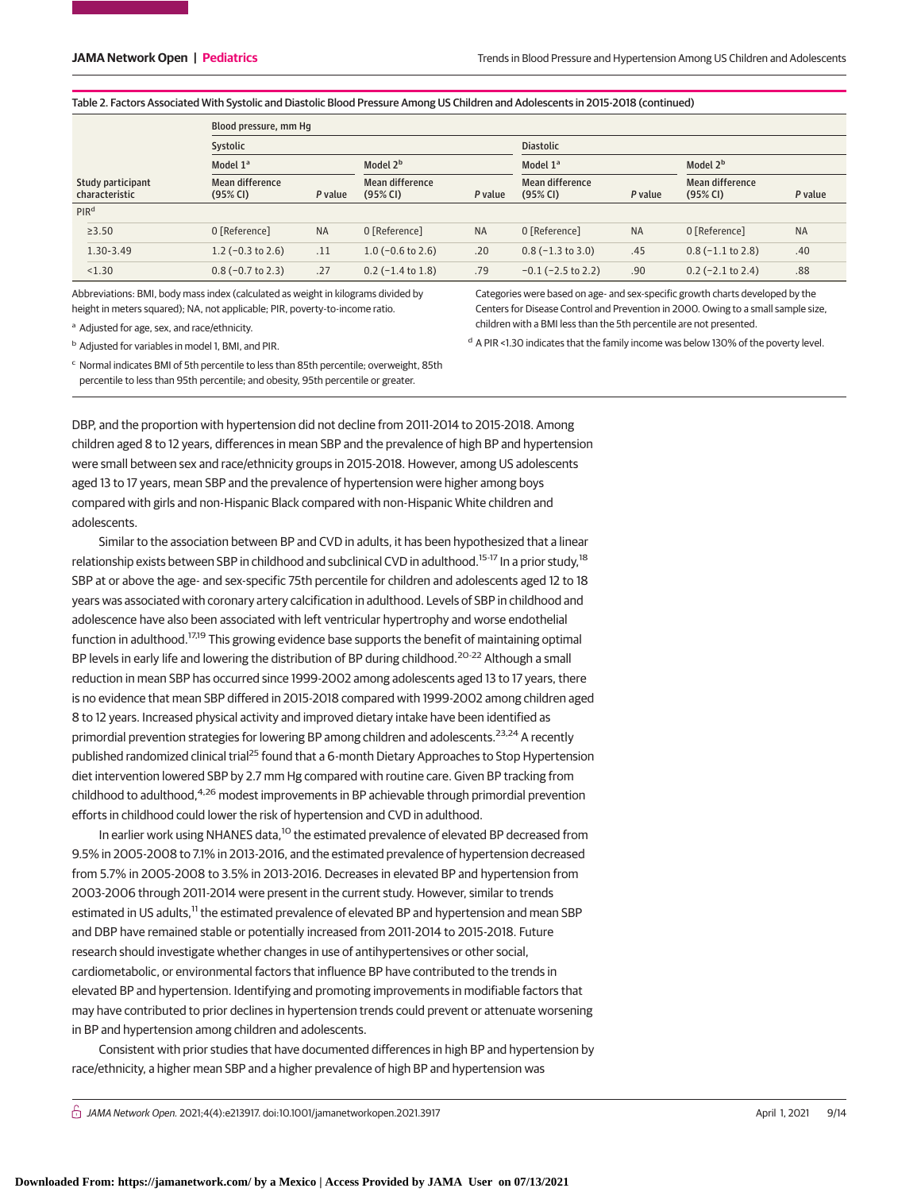Categories were based on age- and sex-specific growth charts developed by the Centers for Disease Control and Prevention in 2000. Owing to a small sample size,

<sup>d</sup> A PIR <1.30 indicates that the family income was below 130% of the poverty level.

children with a BMI less than the 5th percentile are not presented.

#### Table 2. Factors Associated With Systolic and Diastolic Blood Pressure Among US Children and Adolescents in 2015-2018 (continued)

|                                     | Blood pressure, mm Hq        |           |                             |                      |                             |                      |                             |                      |  |  |
|-------------------------------------|------------------------------|-----------|-----------------------------|----------------------|-----------------------------|----------------------|-----------------------------|----------------------|--|--|
|                                     | Systolic                     |           |                             |                      | <b>Diastolic</b>            |                      |                             |                      |  |  |
|                                     | Model 1 <sup>a</sup>         |           |                             | Model 2 <sup>b</sup> |                             | Model 1 <sup>a</sup> |                             | Model 2 <sup>b</sup> |  |  |
| Study participant<br>characteristic | Mean difference<br>(95% CI)  | P value   | Mean difference<br>(95% CI) | P value              | Mean difference<br>(95% CI) | P value              | Mean difference<br>(95% CI) | P value              |  |  |
| PIR <sup>d</sup>                    |                              |           |                             |                      |                             |                      |                             |                      |  |  |
| $\geq 3.50$                         | 0 [Reference]                | <b>NA</b> | 0 [Reference]               | <b>NA</b>            | 0 [Reference]               | <b>NA</b>            | 0 [Reference]               | <b>NA</b>            |  |  |
| 1.30-3.49                           | 1.2 $(-0.3 \text{ to } 2.6)$ | .11       | $1.0$ (-0.6 to 2.6)         | .20                  | $0.8$ ( $-1.3$ to 3.0)      | .45                  | $0.8(-1.1 \text{ to } 2.8)$ | .40                  |  |  |
| < 1.30                              | $0.8(-0.7 \text{ to } 2.3)$  | .27       | $0.2$ (-1.4 to 1.8)         | .79                  | $-0.1$ ( $-2.5$ to 2.2)     | .90                  | $0.2$ (-2.1 to 2.4)         | .88                  |  |  |

Abbreviations: BMI, body mass index (calculated as weight in kilograms divided by height in meters squared); NA, not applicable; PIR, poverty-to-income ratio.

a Adjusted for age, sex, and race/ethnicity.

<sup>b</sup> Adjusted for variables in model 1, BMI, and PIR.

<sup>c</sup> Normal indicates BMI of 5th percentile to less than 85th percentile; overweight, 85th percentile to less than 95th percentile; and obesity, 95th percentile or greater.

DBP, and the proportion with hypertension did not decline from 2011-2014 to 2015-2018. Among children aged 8 to 12 years, differences in mean SBP and the prevalence of high BP and hypertension were small between sex and race/ethnicity groups in 2015-2018. However, among US adolescents aged 13 to 17 years, mean SBP and the prevalence of hypertension were higher among boys

compared with girls and non-Hispanic Black compared with non-Hispanic White children and

adolescents. Similar to the association between BP and CVD in adults, it has been hypothesized that a linear relationship exists between SBP in childhood and subclinical CVD in adulthood.<sup>15-17</sup> In a prior study,<sup>18</sup> SBP at or above the age- and sex-specific 75th percentile for children and adolescents aged 12 to 18 years was associated with coronary artery calcification in adulthood. Levels of SBP in childhood and adolescence have also been associated with left ventricular hypertrophy and worse endothelial function in adulthood.<sup>17,19</sup> This growing evidence base supports the benefit of maintaining optimal BP levels in early life and lowering the distribution of BP during childhood.<sup>20-22</sup> Although a small reduction in mean SBP has occurred since 1999-2002 among adolescents aged 13 to 17 years, there is no evidence that mean SBP differed in 2015-2018 compared with 1999-2002 among children aged 8 to 12 years. Increased physical activity and improved dietary intake have been identified as primordial prevention strategies for lowering BP among children and adolescents.<sup>23,24</sup> A recently published randomized clinical trial<sup>25</sup> found that a 6-month Dietary Approaches to Stop Hypertension diet intervention lowered SBP by 2.7 mm Hg compared with routine care. Given BP tracking from childhood to adulthood,<sup>4,26</sup> modest improvements in BP achievable through primordial prevention efforts in childhood could lower the risk of hypertension and CVD in adulthood.

In earlier work using NHANES data,<sup>10</sup> the estimated prevalence of elevated BP decreased from 9.5% in 2005-2008 to 7.1% in 2013-2016, and the estimated prevalence of hypertension decreased from 5.7% in 2005-2008 to 3.5% in 2013-2016. Decreases in elevated BP and hypertension from 2003-2006 through 2011-2014 were present in the current study. However, similar to trends estimated in US adults,<sup>11</sup> the estimated prevalence of elevated BP and hypertension and mean SBP and DBP have remained stable or potentially increased from 2011-2014 to 2015-2018. Future research should investigate whether changes in use of antihypertensives or other social, cardiometabolic, or environmental factors that influence BP have contributed to the trends in elevated BP and hypertension. Identifying and promoting improvements in modifiable factors that may have contributed to prior declines in hypertension trends could prevent or attenuate worsening in BP and hypertension among children and adolescents.

Consistent with prior studies that have documented differences in high BP and hypertension by race/ethnicity, a higher mean SBP and a higher prevalence of high BP and hypertension was

 $\bigcap$  JAMA Network Open. 2021;4(4):e213917. doi:10.1001/jamanetworkopen.2021.3917 (April 1, 2021 9/14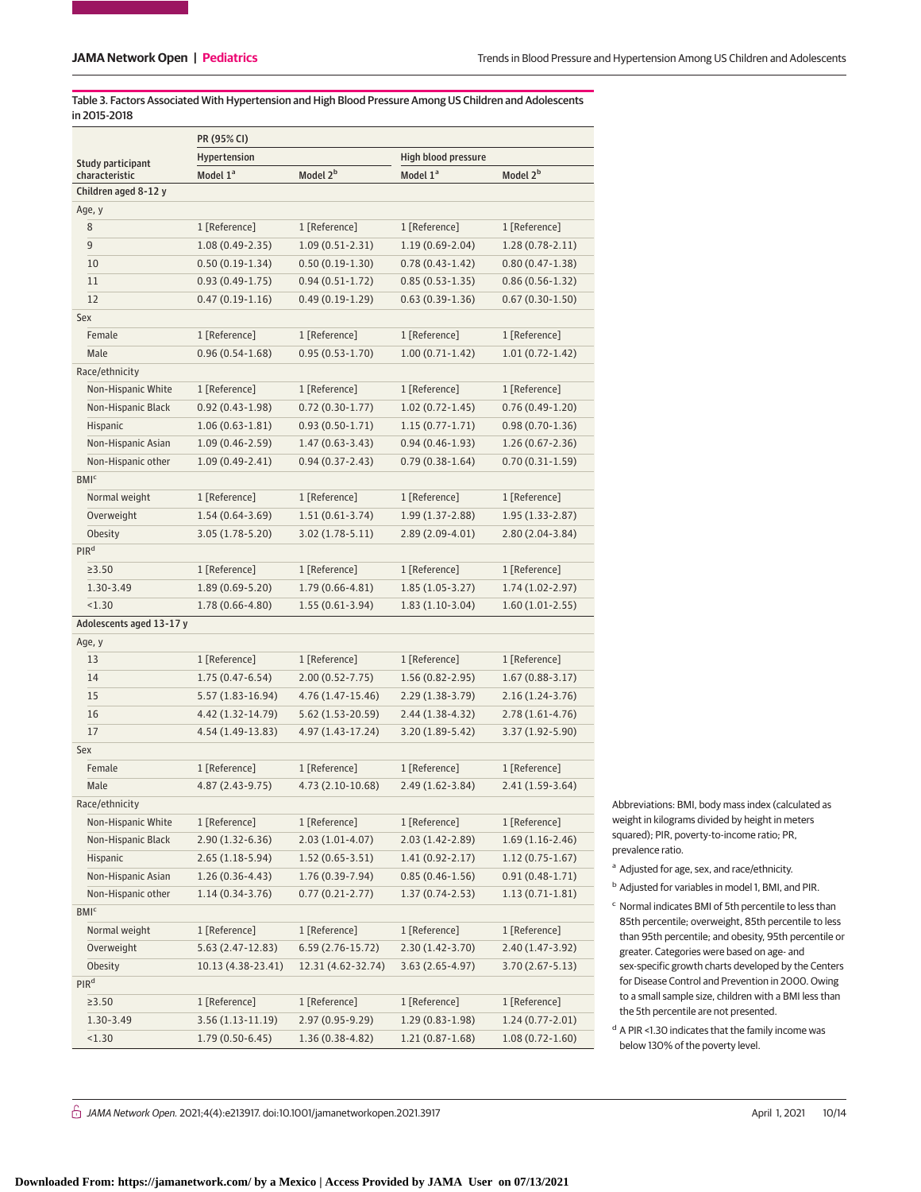Table 3. Factors Associated With Hypertension and High Blood Pressure Among US Children and Adolescents in 2015-2018

|                          | PR (95% CI)          |                      |                      |                      |  |  |  |  |  |
|--------------------------|----------------------|----------------------|----------------------|----------------------|--|--|--|--|--|
| Study participant        | Hypertension         |                      | High blood pressure  |                      |  |  |  |  |  |
| characteristic           | Model 1 <sup>a</sup> | Model 2 <sup>b</sup> | Model 1 <sup>a</sup> | Model 2 <sup>b</sup> |  |  |  |  |  |
| Children aged 8-12 y     |                      |                      |                      |                      |  |  |  |  |  |
| Age, y                   |                      |                      |                      |                      |  |  |  |  |  |
| 8                        | 1 [Reference]        | 1 [Reference]        | 1 [Reference]        | 1 [Reference]        |  |  |  |  |  |
| 9                        | $1.08(0.49-2.35)$    | $1.09(0.51-2.31)$    | $1.19(0.69-2.04)$    | $1.28(0.78-2.11)$    |  |  |  |  |  |
| 10                       | $0.50(0.19-1.34)$    | $0.50(0.19-1.30)$    | $0.78(0.43-1.42)$    | $0.80(0.47 - 1.38)$  |  |  |  |  |  |
| 11                       | $0.93(0.49-1.75)$    | $0.94(0.51-1.72)$    | $0.85(0.53 - 1.35)$  | $0.86(0.56 - 1.32)$  |  |  |  |  |  |
| 12                       | $0.47(0.19-1.16)$    | $0.49(0.19-1.29)$    | $0.63(0.39-1.36)$    | $0.67(0.30-1.50)$    |  |  |  |  |  |
| Sex                      |                      |                      |                      |                      |  |  |  |  |  |
| Female                   | 1 [Reference]        | 1 [Reference]        | 1 [Reference]        | 1 [Reference]        |  |  |  |  |  |
| Male                     | $0.96(0.54 - 1.68)$  | $0.95(0.53 - 1.70)$  | $1.00(0.71-1.42)$    | $1.01(0.72 - 1.42)$  |  |  |  |  |  |
| Race/ethnicity           |                      |                      |                      |                      |  |  |  |  |  |
| Non-Hispanic White       | 1 [Reference]        | 1 [Reference]        | 1 [Reference]        | 1 [Reference]        |  |  |  |  |  |
| Non-Hispanic Black       | $0.92(0.43 - 1.98)$  | $0.72(0.30-1.77)$    | $1.02(0.72 - 1.45)$  | $0.76(0.49-1.20)$    |  |  |  |  |  |
| Hispanic                 | $1.06(0.63-1.81)$    | $0.93(0.50-1.71)$    | $1.15(0.77 - 1.71)$  | $0.98(0.70-1.36)$    |  |  |  |  |  |
| Non-Hispanic Asian       | $1.09(0.46 - 2.59)$  | $1.47(0.63-3.43)$    | $0.94(0.46-1.93)$    | $1.26(0.67 - 2.36)$  |  |  |  |  |  |
| Non-Hispanic other       | $1.09(0.49-2.41)$    | $0.94(0.37 - 2.43)$  | $0.79(0.38-1.64)$    | $0.70(0.31-1.59)$    |  |  |  |  |  |
| <b>BMI<sup>c</sup></b>   |                      |                      |                      |                      |  |  |  |  |  |
| Normal weight            | 1 [Reference]        | 1 [Reference]        | 1 [Reference]        | 1 [Reference]        |  |  |  |  |  |
| Overweight               | $1.54(0.64-3.69)$    | $1.51(0.61-3.74)$    | 1.99 (1.37-2.88)     | $1.95(1.33 - 2.87)$  |  |  |  |  |  |
| Obesity                  | 3.05 (1.78-5.20)     | $3.02(1.78-5.11)$    | $2.89(2.09-4.01)$    | $2.80(2.04-3.84)$    |  |  |  |  |  |
| PIR <sup>d</sup>         |                      |                      |                      |                      |  |  |  |  |  |
| $\geq 3.50$              | 1 [Reference]        | 1 [Reference]        | 1 [Reference]        | 1 [Reference]        |  |  |  |  |  |
| 1.30-3.49                | 1.89 (0.69-5.20)     | 1.79 (0.66-4.81)     | $1.85(1.05-3.27)$    | $1.74(1.02 - 2.97)$  |  |  |  |  |  |
| < 1.30                   | 1.78 (0.66-4.80)     | $1.55(0.61-3.94)$    | $1.83(1.10-3.04)$    | $1.60(1.01-2.55)$    |  |  |  |  |  |
| Adolescents aged 13-17 y |                      |                      |                      |                      |  |  |  |  |  |
| Age, y                   |                      |                      |                      |                      |  |  |  |  |  |
| 13                       | 1 [Reference]        | 1 [Reference]        | 1 [Reference]        | 1 [Reference]        |  |  |  |  |  |
| 14                       | $1.75(0.47 - 6.54)$  | $2.00(0.52 - 7.75)$  | $1.56(0.82 - 2.95)$  | $1.67(0.88-3.17)$    |  |  |  |  |  |
| 15                       | 5.57 (1.83-16.94)    | 4.76 (1.47-15.46)    | $2.29(1.38-3.79)$    | $2.16(1.24-3.76)$    |  |  |  |  |  |
| 16                       | 4.42 (1.32-14.79)    | 5.62 (1.53-20.59)    | $2.44(1.38-4.32)$    | $2.78(1.61-4.76)$    |  |  |  |  |  |
| 17                       | 4.54 (1.49-13.83)    | 4.97 (1.43-17.24)    | $3.20(1.89-5.42)$    | 3.37 (1.92-5.90)     |  |  |  |  |  |
| Sex                      |                      |                      |                      |                      |  |  |  |  |  |
| Female                   | 1 [Reference]        | 1 [Reference]        | 1 [Reference]        | 1 [Reference]        |  |  |  |  |  |
| Male                     | 4.87 (2.43-9.75)     | 4.73 (2.10-10.68)    | $2.49(1.62 - 3.84)$  | $2.41(1.59-3.64)$    |  |  |  |  |  |
| Race/ethnicity           |                      |                      |                      |                      |  |  |  |  |  |
| Non-Hispanic White       | 1 [Reference]        | 1 [Reference]        | 1 [Reference]        | 1 [Reference]        |  |  |  |  |  |
| Non-Hispanic Black       | 2.90 (1.32-6.36)     | $2.03(1.01-4.07)$    | 2.03 (1.42-2.89)     | $1.69(1.16 - 2.46)$  |  |  |  |  |  |
| Hispanic                 | 2.65 (1.18-5.94)     | $1.52(0.65-3.51)$    | $1.41(0.92 - 2.17)$  | $1.12(0.75-1.67)$    |  |  |  |  |  |
| Non-Hispanic Asian       | $1.26(0.36-4.43)$    | $1.76(0.39-7.94)$    | $0.85(0.46-1.56)$    | $0.91(0.48-1.71)$    |  |  |  |  |  |
| Non-Hispanic other       | $1.14(0.34-3.76)$    | $0.77(0.21-2.77)$    | $1.37(0.74 - 2.53)$  | $1.13(0.71-1.81)$    |  |  |  |  |  |
| BMI <sub>c</sub>         |                      |                      |                      |                      |  |  |  |  |  |
| Normal weight            | 1 [Reference]        | 1 [Reference]        | 1 [Reference]        | 1 [Reference]        |  |  |  |  |  |
| Overweight               | 5.63 (2.47-12.83)    | 6.59 (2.76-15.72)    | $2.30(1.42 - 3.70)$  | 2.40 (1.47-3.92)     |  |  |  |  |  |
| Obesity                  | 10.13 (4.38-23.41)   | 12.31 (4.62-32.74)   | $3.63(2.65-4.97)$    | 3.70 (2.67-5.13)     |  |  |  |  |  |
| PIR <sup>d</sup>         |                      |                      |                      |                      |  |  |  |  |  |
| ≥3.50                    | 1 [Reference]        | 1 [Reference]        | 1 [Reference]        | 1 [Reference]        |  |  |  |  |  |
| 1.30-3.49                | 3.56 (1.13-11.19)    | 2.97 (0.95-9.29)     | $1.29(0.83-1.98)$    | $1.24(0.77 - 2.01)$  |  |  |  |  |  |
| 1.30                     | $1.79(0.50-6.45)$    | $1.36(0.38-4.82)$    | $1.21(0.87-1.68)$    | $1.08(0.72 - 1.60)$  |  |  |  |  |  |

Abbreviations: BMI, body mass index (calculated as weight in kilograms divided by height in meters squared); PIR, poverty-to-income ratio; PR, prevalence ratio.

<sup>a</sup> Adjusted for age, sex, and race/ethnicity.

<sup>b</sup> Adjusted for variables in model 1, BMI, and PIR.

<sup>c</sup> Normal indicates BMI of 5th percentile to less than 85th percentile; overweight, 85th percentile to less than 95th percentile; and obesity, 95th percentile or greater. Categories were based on age- and sex-specific growth charts developed by the Centers for Disease Control and Prevention in 2000. Owing to a small sample size, children with a BMI less than the 5th percentile are not presented.

<sup>d</sup> A PIR <1.30 indicates that the family income was below 130% of the poverty level.

 $\bigcap$  JAMA Network Open. 2021;4(4):e213917. doi:10.1001/jamanetworkopen.2021.3917 (April 1, 2021 10/14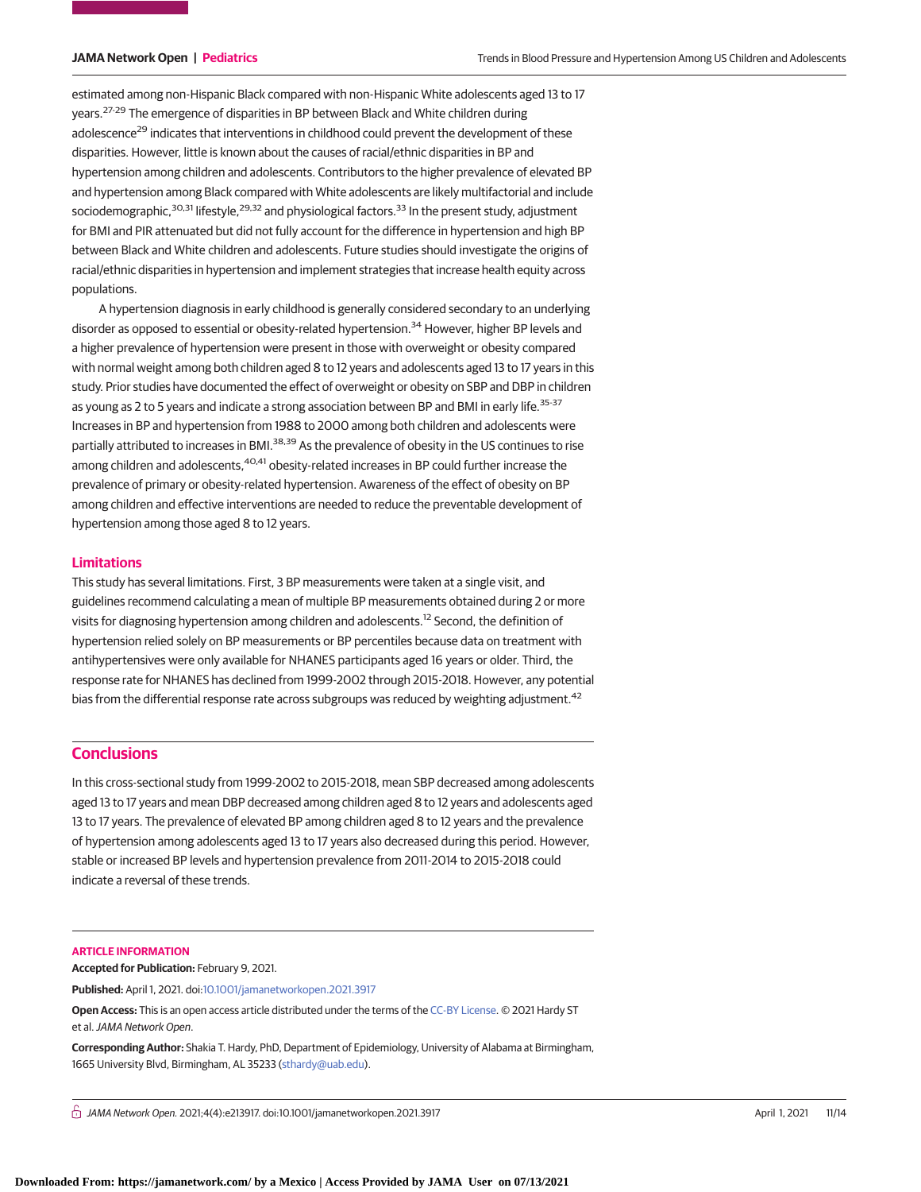estimated among non-Hispanic Black compared with non-Hispanic White adolescents aged 13 to 17 years.<sup>27-29</sup> The emergence of disparities in BP between Black and White children during adolescence<sup>29</sup> indicates that interventions in childhood could prevent the development of these disparities. However, little is known about the causes of racial/ethnic disparities in BP and hypertension among children and adolescents. Contributors to the higher prevalence of elevated BP and hypertension among Black compared with White adolescents are likely multifactorial and include sociodemographic, $30,31$  lifestyle, $29,32$  and physiological factors.  $33$  In the present study, adjustment for BMI and PIR attenuated but did not fully account for the difference in hypertension and high BP between Black and White children and adolescents. Future studies should investigate the origins of racial/ethnic disparities in hypertension and implement strategies that increase health equity across populations.

A hypertension diagnosis in early childhood is generally considered secondary to an underlying disorder as opposed to essential or obesity-related hypertension.<sup>34</sup> However, higher BP levels and a higher prevalence of hypertension were present in those with overweight or obesity compared with normal weight among both children aged 8 to 12 years and adolescents aged 13 to 17 years in this study. Prior studies have documented the effect of overweight or obesity on SBP and DBP in children as young as 2 to 5 years and indicate a strong association between BP and BMI in early life.<sup>35-37</sup> Increases in BP and hypertension from 1988 to 2000 among both children and adolescents were partially attributed to increases in BMI.<sup>38,39</sup> As the prevalence of obesity in the US continues to rise among children and adolescents, <sup>40,41</sup> obesity-related increases in BP could further increase the prevalence of primary or obesity-related hypertension. Awareness of the effect of obesity on BP among children and effective interventions are needed to reduce the preventable development of hypertension among those aged 8 to 12 years.

### **Limitations**

This study has several limitations. First, 3 BP measurements were taken at a single visit, and guidelines recommend calculating a mean of multiple BP measurements obtained during 2 or more visits for diagnosing hypertension among children and adolescents.<sup>12</sup> Second, the definition of hypertension relied solely on BP measurements or BP percentiles because data on treatment with antihypertensives were only available for NHANES participants aged 16 years or older. Third, the response rate for NHANES has declined from 1999-2002 through 2015-2018. However, any potential bias from the differential response rate across subgroups was reduced by weighting adjustment.<sup>42</sup>

# **Conclusions**

In this cross-sectional study from 1999-2002 to 2015-2018, mean SBP decreased among adolescents aged 13 to 17 years and mean DBP decreased among children aged 8 to 12 years and adolescents aged 13 to 17 years. The prevalence of elevated BP among children aged 8 to 12 years and the prevalence of hypertension among adolescents aged 13 to 17 years also decreased during this period. However, stable or increased BP levels and hypertension prevalence from 2011-2014 to 2015-2018 could indicate a reversal of these trends.

#### **ARTICLE INFORMATION**

**Accepted for Publication:** February 9, 2021.

**Published:** April 1, 2021. doi[:10.1001/jamanetworkopen.2021.3917](https://jama.jamanetwork.com/article.aspx?doi=10.1001/jamanetworkopen.2021.3917&utm_campaign=articlePDF%26utm_medium=articlePDFlink%26utm_source=articlePDF%26utm_content=jamanetworkopen.2021.3917)

**Open Access:** This is an open access article distributed under the terms of the [CC-BY License.](https://jamanetwork.com/pages/cc-by-license-permissions/?utm_campaign=articlePDF%26utm_medium=articlePDFlink%26utm_source=articlePDF%26utm_content=jamanetworkopen.2021.3917) © 2021 Hardy ST et al.JAMA Network Open.

**Corresponding Author:** Shakia T. Hardy, PhD, Department of Epidemiology, University of Alabama at Birmingham, 1665 University Blvd, Birmingham, AL 35233 [\(sthardy@uab.edu\)](mailto:sthardy@uab.edu).

 $\bigcap$  JAMA Network Open. 2021;4(4):e213917. doi:10.1001/jamanetworkopen.2021.3917 (April 1, 2021 11/14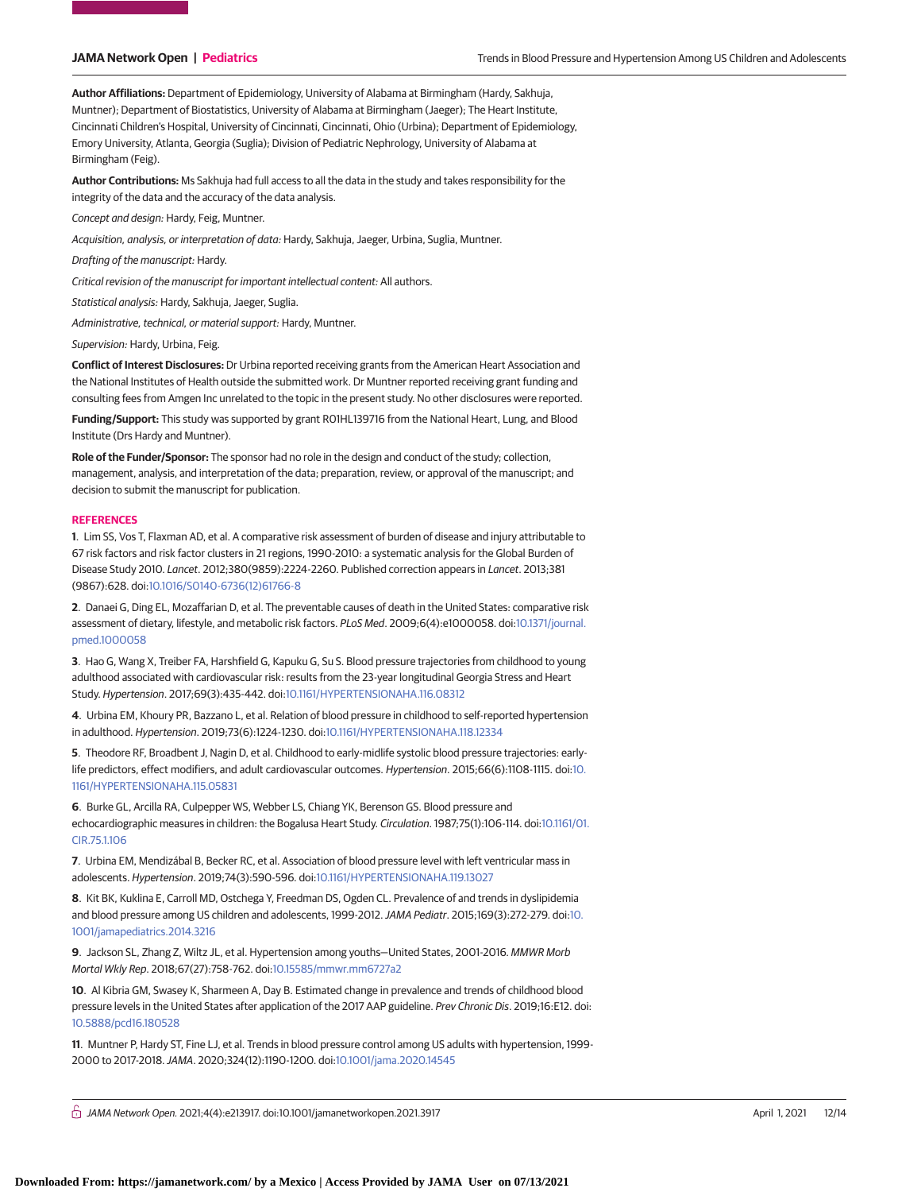**Author Affiliations:** Department of Epidemiology, University of Alabama at Birmingham (Hardy, Sakhuja, Muntner); Department of Biostatistics, University of Alabama at Birmingham (Jaeger); The Heart Institute, Cincinnati Children's Hospital, University of Cincinnati, Cincinnati, Ohio (Urbina); Department of Epidemiology, Emory University, Atlanta, Georgia (Suglia); Division of Pediatric Nephrology, University of Alabama at Birmingham (Feig).

**Author Contributions:** Ms Sakhuja had full access to all the data in the study and takes responsibility for the integrity of the data and the accuracy of the data analysis.

Concept and design: Hardy, Feig, Muntner.

Acquisition, analysis, or interpretation of data: Hardy, Sakhuja, Jaeger, Urbina, Suglia, Muntner.

Drafting of the manuscript: Hardy.

Critical revision of the manuscript for important intellectual content: All authors.

Statistical analysis: Hardy, Sakhuja, Jaeger, Suglia.

Administrative, technical, or material support: Hardy, Muntner.

Supervision: Hardy, Urbina, Feig.

**Conflict of Interest Disclosures:** Dr Urbina reported receiving grants from the American Heart Association and the National Institutes of Health outside the submitted work. Dr Muntner reported receiving grant funding and consulting fees from Amgen Inc unrelated to the topic in the present study. No other disclosures were reported.

**Funding/Support:** This study was supported by grant R01HL139716 from the National Heart, Lung, and Blood Institute (Drs Hardy and Muntner).

**Role of the Funder/Sponsor:** The sponsor had no role in the design and conduct of the study; collection, management, analysis, and interpretation of the data; preparation, review, or approval of the manuscript; and decision to submit the manuscript for publication.

#### **REFERENCES**

**1**. Lim SS, Vos T, Flaxman AD, et al. A comparative risk assessment of burden of disease and injury attributable to 67 risk factors and risk factor clusters in 21 regions, 1990-2010: a systematic analysis for the Global Burden of Disease Study 2010. Lancet. 2012;380(9859):2224-2260. Published correction appears in Lancet. 2013;381 (9867):628. doi[:10.1016/S0140-6736\(12\)61766-8](https://dx.doi.org/10.1016/S0140-6736(12)61766-8)

**2**. Danaei G, Ding EL, Mozaffarian D, et al. The preventable causes of death in the United States: comparative risk assessment of dietary, lifestyle, and metabolic risk factors. PLoS Med. 2009;6(4):e1000058. doi[:10.1371/journal.](https://dx.doi.org/10.1371/journal.pmed.1000058) [pmed.1000058](https://dx.doi.org/10.1371/journal.pmed.1000058)

**3**. Hao G, Wang X, Treiber FA, Harshfield G, Kapuku G, Su S. Blood pressure trajectories from childhood to young adulthood associated with cardiovascular risk: results from the 23-year longitudinal Georgia Stress and Heart Study. Hypertension. 2017;69(3):435-442. doi[:10.1161/HYPERTENSIONAHA.116.08312](https://dx.doi.org/10.1161/HYPERTENSIONAHA.116.08312)

**4**. Urbina EM, Khoury PR, Bazzano L, et al. Relation of blood pressure in childhood to self-reported hypertension in adulthood. Hypertension. 2019;73(6):1224-1230. doi[:10.1161/HYPERTENSIONAHA.118.12334](https://dx.doi.org/10.1161/HYPERTENSIONAHA.118.12334)

**5**. Theodore RF, Broadbent J, Nagin D, et al. Childhood to early-midlife systolic blood pressure trajectories: earlylife predictors, effect modifiers, and adult cardiovascular outcomes. Hypertension. 2015;66(6):1108-1115. doi[:10.](https://dx.doi.org/10.1161/HYPERTENSIONAHA.115.05831) [1161/HYPERTENSIONAHA.115.05831](https://dx.doi.org/10.1161/HYPERTENSIONAHA.115.05831)

**6**. Burke GL, Arcilla RA, Culpepper WS, Webber LS, Chiang YK, Berenson GS. Blood pressure and echocardiographic measures in children: the Bogalusa Heart Study. Circulation. 1987;75(1):106-114. doi[:10.1161/01.](https://dx.doi.org/10.1161/01.CIR.75.1.106) [CIR.75.1.106](https://dx.doi.org/10.1161/01.CIR.75.1.106)

**7**. Urbina EM, Mendizábal B, Becker RC, et al. Association of blood pressure level with left ventricular mass in adolescents. Hypertension. 2019;74(3):590-596. doi[:10.1161/HYPERTENSIONAHA.119.13027](https://dx.doi.org/10.1161/HYPERTENSIONAHA.119.13027)

**8**. Kit BK, Kuklina E, Carroll MD, Ostchega Y, Freedman DS, Ogden CL. Prevalence of and trends in dyslipidemia and blood pressure among US children and adolescents, 1999-2012.JAMA Pediatr. 2015;169(3):272-279. doi[:10.](https://jama.jamanetwork.com/article.aspx?doi=10.1001/jamapediatrics.2014.3216&utm_campaign=articlePDF%26utm_medium=articlePDFlink%26utm_source=articlePDF%26utm_content=jamanetworkopen.2021.3917) [1001/jamapediatrics.2014.3216](https://jama.jamanetwork.com/article.aspx?doi=10.1001/jamapediatrics.2014.3216&utm_campaign=articlePDF%26utm_medium=articlePDFlink%26utm_source=articlePDF%26utm_content=jamanetworkopen.2021.3917)

**9**. Jackson SL, Zhang Z, Wiltz JL, et al. Hypertension among youths—United States, 2001-2016. MMWR Morb Mortal Wkly Rep. 2018;67(27):758-762. doi[:10.15585/mmwr.mm6727a2](https://dx.doi.org/10.15585/mmwr.mm6727a2)

**10**. Al Kibria GM, Swasey K, Sharmeen A, Day B. Estimated change in prevalence and trends of childhood blood pressure levels in the United States after application of the 2017 AAP guideline. Prev Chronic Dis. 2019;16:E12. doi: [10.5888/pcd16.180528](https://dx.doi.org/10.5888/pcd16.180528)

**11**. Muntner P, Hardy ST, Fine LJ, et al. Trends in blood pressure control among US adults with hypertension, 1999- 2000 to 2017-2018.JAMA. 2020;324(12):1190-1200. doi[:10.1001/jama.2020.14545](https://jama.jamanetwork.com/article.aspx?doi=10.1001/jama.2020.14545&utm_campaign=articlePDF%26utm_medium=articlePDFlink%26utm_source=articlePDF%26utm_content=jamanetworkopen.2021.3917)

 $\bigcap$  JAMA Network Open. 2021;4(4):e213917. doi:10.1001/jamanetworkopen.2021.3917 (April 1, 2021 12/14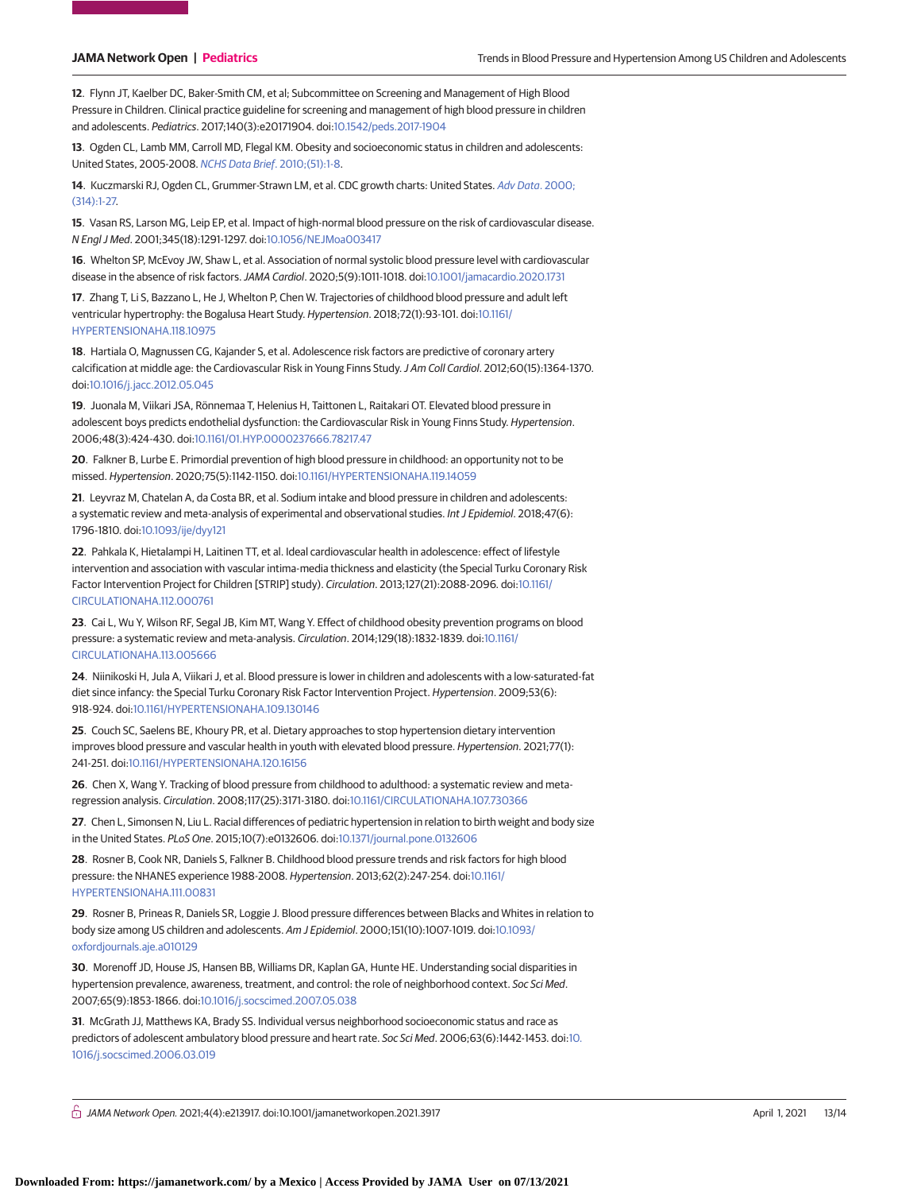**12**. Flynn JT, Kaelber DC, Baker-Smith CM, et al; Subcommittee on Screening and Management of High Blood Pressure in Children. Clinical practice guideline for screening and management of high blood pressure in children and adolescents. Pediatrics. 2017;140(3):e20171904. doi[:10.1542/peds.2017-1904](https://dx.doi.org/10.1542/peds.2017-1904)

**13**. Ogden CL, Lamb MM, Carroll MD, Flegal KM. Obesity and socioeconomic status in children and adolescents: United States, 2005-2008. [NCHS Data Brief](https://www.ncbi.nlm.nih.gov/pubmed/21211166). 2010;(51):1-8.

**14**. Kuczmarski RJ, Ogden CL, Grummer-Strawn LM, et al. CDC growth charts: United States. [Adv Data](https://www.ncbi.nlm.nih.gov/pubmed/11183293). 2000; [\(314\):1-27.](https://www.ncbi.nlm.nih.gov/pubmed/11183293)

**15**. Vasan RS, Larson MG, Leip EP, et al. Impact of high-normal blood pressure on the risk of cardiovascular disease. N Engl J Med. 2001;345(18):1291-1297. doi[:10.1056/NEJMoa003417](https://dx.doi.org/10.1056/NEJMoa003417)

**16**. Whelton SP, McEvoy JW, Shaw L, et al. Association of normal systolic blood pressure level with cardiovascular disease in the absence of risk factors.JAMA Cardiol. 2020;5(9):1011-1018. doi[:10.1001/jamacardio.2020.1731](https://jama.jamanetwork.com/article.aspx?doi=10.1001/jamacardio.2020.1731&utm_campaign=articlePDF%26utm_medium=articlePDFlink%26utm_source=articlePDF%26utm_content=jamanetworkopen.2021.3917)

**17**. Zhang T, Li S, Bazzano L, He J, Whelton P, Chen W. Trajectories of childhood blood pressure and adult left ventricular hypertrophy: the Bogalusa Heart Study. Hypertension. 2018;72(1):93-101. doi[:10.1161/](https://dx.doi.org/10.1161/HYPERTENSIONAHA.118.10975) [HYPERTENSIONAHA.118.10975](https://dx.doi.org/10.1161/HYPERTENSIONAHA.118.10975)

**18**. Hartiala O, Magnussen CG, Kajander S, et al. Adolescence risk factors are predictive of coronary artery calcification at middle age: the Cardiovascular Risk in Young Finns Study.J Am Coll Cardiol. 2012;60(15):1364-1370. doi[:10.1016/j.jacc.2012.05.045](https://dx.doi.org/10.1016/j.jacc.2012.05.045)

**19**. Juonala M, Viikari JSA, Rönnemaa T, Helenius H, Taittonen L, Raitakari OT. Elevated blood pressure in adolescent boys predicts endothelial dysfunction: the Cardiovascular Risk in Young Finns Study. Hypertension. 2006;48(3):424-430. doi[:10.1161/01.HYP.0000237666.78217.47](https://dx.doi.org/10.1161/01.HYP.0000237666.78217.47)

**20**. Falkner B, Lurbe E. Primordial prevention of high blood pressure in childhood: an opportunity not to be missed. Hypertension. 2020;75(5):1142-1150. doi[:10.1161/HYPERTENSIONAHA.119.14059](https://dx.doi.org/10.1161/HYPERTENSIONAHA.119.14059)

**21**. Leyvraz M, Chatelan A, da Costa BR, et al. Sodium intake and blood pressure in children and adolescents: a systematic review and meta-analysis of experimental and observational studies. Int J Epidemiol. 2018;47(6): 1796-1810. doi[:10.1093/ije/dyy121](https://dx.doi.org/10.1093/ije/dyy121)

**22**. Pahkala K, Hietalampi H, Laitinen TT, et al. Ideal cardiovascular health in adolescence: effect of lifestyle intervention and association with vascular intima-media thickness and elasticity (the Special Turku Coronary Risk Factor Intervention Project for Children [STRIP] study). Circulation. 2013;127(21):2088-2096. doi[:10.1161/](https://dx.doi.org/10.1161/CIRCULATIONAHA.112.000761) [CIRCULATIONAHA.112.000761](https://dx.doi.org/10.1161/CIRCULATIONAHA.112.000761)

**23**. Cai L, Wu Y, Wilson RF, Segal JB, Kim MT, Wang Y. Effect of childhood obesity prevention programs on blood pressure: a systematic review and meta-analysis. Circulation. 2014;129(18):1832-1839. doi[:10.1161/](https://dx.doi.org/10.1161/CIRCULATIONAHA.113.005666) [CIRCULATIONAHA.113.005666](https://dx.doi.org/10.1161/CIRCULATIONAHA.113.005666)

**24**. Niinikoski H, Jula A, Viikari J, et al. Blood pressure is lower in children and adolescents with a low-saturated-fat diet since infancy: the Special Turku Coronary Risk Factor Intervention Project. Hypertension. 2009;53(6): 918-924. doi[:10.1161/HYPERTENSIONAHA.109.130146](https://dx.doi.org/10.1161/HYPERTENSIONAHA.109.130146)

**25**. Couch SC, Saelens BE, Khoury PR, et al. Dietary approaches to stop hypertension dietary intervention improves blood pressure and vascular health in youth with elevated blood pressure. Hypertension. 2021;77(1): 241-251. doi[:10.1161/HYPERTENSIONAHA.120.16156](https://dx.doi.org/10.1161/HYPERTENSIONAHA.120.16156)

**26**. Chen X, Wang Y. Tracking of blood pressure from childhood to adulthood: a systematic review and metaregression analysis. Circulation. 2008;117(25):3171-3180. doi[:10.1161/CIRCULATIONAHA.107.730366](https://dx.doi.org/10.1161/CIRCULATIONAHA.107.730366)

**27**. Chen L, Simonsen N, Liu L. Racial differences of pediatric hypertension in relation to birth weight and body size in the United States. PLoS One. 2015;10(7):e0132606. doi[:10.1371/journal.pone.0132606](https://dx.doi.org/10.1371/journal.pone.0132606)

**28**. Rosner B, Cook NR, Daniels S, Falkner B. Childhood blood pressure trends and risk factors for high blood pressure: the NHANES experience 1988-2008. Hypertension. 2013;62(2):247-254. doi[:10.1161/](https://dx.doi.org/10.1161/HYPERTENSIONAHA.111.00831) [HYPERTENSIONAHA.111.00831](https://dx.doi.org/10.1161/HYPERTENSIONAHA.111.00831)

**29**. Rosner B, Prineas R, Daniels SR, Loggie J. Blood pressure differences between Blacks and Whites in relation to body size among US children and adolescents. Am J Epidemiol. 2000;151(10):1007-1019. doi[:10.1093/](https://dx.doi.org/10.1093/oxfordjournals.aje.a010129) [oxfordjournals.aje.a010129](https://dx.doi.org/10.1093/oxfordjournals.aje.a010129)

**30**. Morenoff JD, House JS, Hansen BB, Williams DR, Kaplan GA, Hunte HE. Understanding social disparities in hypertension prevalence, awareness, treatment, and control: the role of neighborhood context. Soc Sci Med. 2007;65(9):1853-1866. doi[:10.1016/j.socscimed.2007.05.038](https://dx.doi.org/10.1016/j.socscimed.2007.05.038)

**31**. McGrath JJ, Matthews KA, Brady SS. Individual versus neighborhood socioeconomic status and race as predictors of adolescent ambulatory blood pressure and heart rate. Soc Sci Med. 2006;63(6):1442-1453. doi[:10.](https://dx.doi.org/10.1016/j.socscimed.2006.03.019) [1016/j.socscimed.2006.03.019](https://dx.doi.org/10.1016/j.socscimed.2006.03.019)

 $\bigcap$  JAMA Network Open. 2021;4(4):e213917. doi:10.1001/jamanetworkopen.2021.3917 (April 1, 2021 13/14